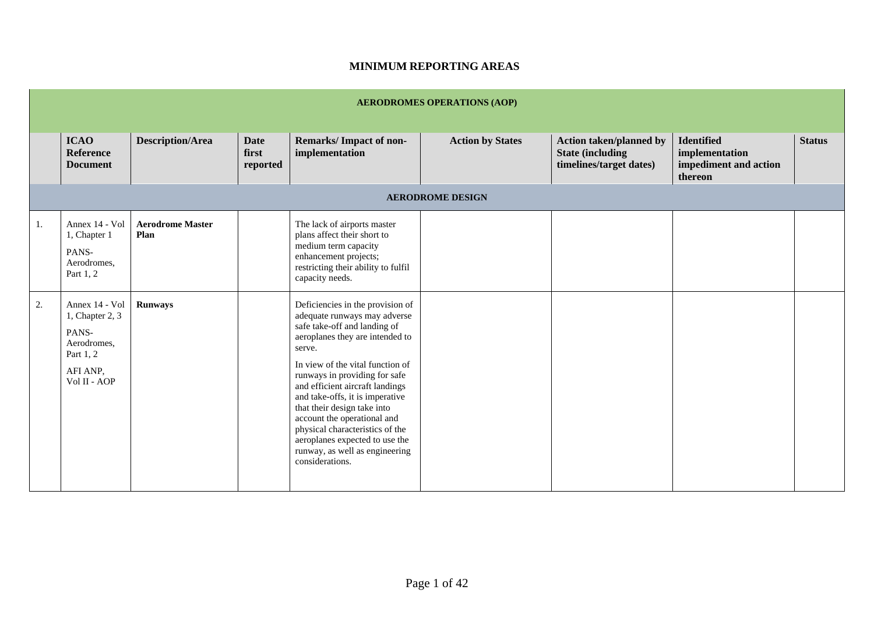|    | <b>AERODROMES OPERATIONS (AOP)</b>                                                                 |                                 |                                  |                                                                                                                                                                                                                                                                                                                                                                                                                                                                                  |                         |                                                                                |                                                                         |               |  |  |
|----|----------------------------------------------------------------------------------------------------|---------------------------------|----------------------------------|----------------------------------------------------------------------------------------------------------------------------------------------------------------------------------------------------------------------------------------------------------------------------------------------------------------------------------------------------------------------------------------------------------------------------------------------------------------------------------|-------------------------|--------------------------------------------------------------------------------|-------------------------------------------------------------------------|---------------|--|--|
|    | <b>ICAO</b><br><b>Reference</b><br><b>Document</b>                                                 | <b>Description/Area</b>         | <b>Date</b><br>first<br>reported | <b>Remarks/Impact of non-</b><br>implementation                                                                                                                                                                                                                                                                                                                                                                                                                                  | <b>Action by States</b> | Action taken/planned by<br><b>State (including)</b><br>timelines/target dates) | <b>Identified</b><br>implementation<br>impediment and action<br>thereon | <b>Status</b> |  |  |
|    | <b>AERODROME DESIGN</b>                                                                            |                                 |                                  |                                                                                                                                                                                                                                                                                                                                                                                                                                                                                  |                         |                                                                                |                                                                         |               |  |  |
| 1. | Annex 14 - Vol<br>1, Chapter 1<br>PANS-<br>Aerodromes,<br>Part 1, 2                                | <b>Aerodrome Master</b><br>Plan |                                  | The lack of airports master<br>plans affect their short to<br>medium term capacity<br>enhancement projects;<br>restricting their ability to fulfil<br>capacity needs.                                                                                                                                                                                                                                                                                                            |                         |                                                                                |                                                                         |               |  |  |
| 2. | Annex 14 - Vol<br>1, Chapter 2, 3<br>PANS-<br>Aerodromes,<br>Part 1, 2<br>AFI ANP,<br>Vol II - AOP | <b>Runways</b>                  |                                  | Deficiencies in the provision of<br>adequate runways may adverse<br>safe take-off and landing of<br>aeroplanes they are intended to<br>serve.<br>In view of the vital function of<br>runways in providing for safe<br>and efficient aircraft landings<br>and take-offs, it is imperative<br>that their design take into<br>account the operational and<br>physical characteristics of the<br>aeroplanes expected to use the<br>runway, as well as engineering<br>considerations. |                         |                                                                                |                                                                         |               |  |  |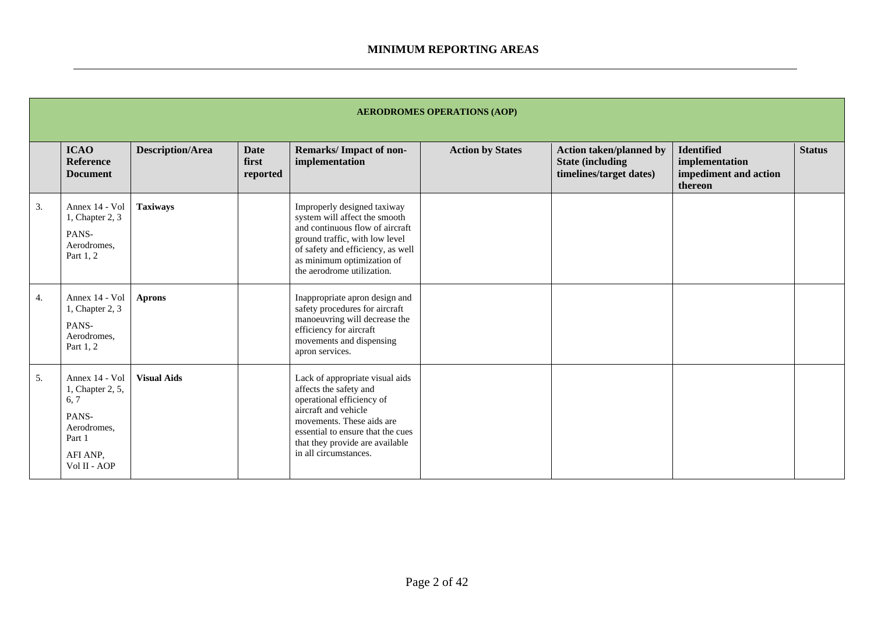|    | <b>AERODROMES OPERATIONS (AOP)</b>                                                                       |                         |                                  |                                                                                                                                                                                                                                              |                         |                                                                                       |                                                                         |               |  |  |
|----|----------------------------------------------------------------------------------------------------------|-------------------------|----------------------------------|----------------------------------------------------------------------------------------------------------------------------------------------------------------------------------------------------------------------------------------------|-------------------------|---------------------------------------------------------------------------------------|-------------------------------------------------------------------------|---------------|--|--|
|    | <b>ICAO</b><br><b>Reference</b><br><b>Document</b>                                                       | <b>Description/Area</b> | <b>Date</b><br>first<br>reported | <b>Remarks/Impact of non-</b><br>implementation                                                                                                                                                                                              | <b>Action by States</b> | <b>Action taken/planned by</b><br><b>State (including)</b><br>timelines/target dates) | <b>Identified</b><br>implementation<br>impediment and action<br>thereon | <b>Status</b> |  |  |
| 3. | Annex 14 - Vol<br>1, Chapter 2, 3<br>PANS-<br>Aerodromes,<br>Part 1, 2                                   | <b>Taxiways</b>         |                                  | Improperly designed taxiway<br>system will affect the smooth<br>and continuous flow of aircraft<br>ground traffic, with low level<br>of safety and efficiency, as well<br>as minimum optimization of<br>the aerodrome utilization.           |                         |                                                                                       |                                                                         |               |  |  |
| 4. | Annex 14 - Vol<br>1, Chapter 2, 3<br>PANS-<br>Aerodromes,<br>Part 1, 2                                   | <b>Aprons</b>           |                                  | Inappropriate apron design and<br>safety procedures for aircraft<br>manoeuvring will decrease the<br>efficiency for aircraft<br>movements and dispensing<br>apron services.                                                                  |                         |                                                                                       |                                                                         |               |  |  |
| 5. | Annex 14 - Vol<br>1, Chapter 2, 5,<br>6, 7<br>PANS-<br>Aerodromes,<br>Part 1<br>AFI ANP,<br>Vol II - AOP | <b>Visual Aids</b>      |                                  | Lack of appropriate visual aids<br>affects the safety and<br>operational efficiency of<br>aircraft and vehicle<br>movements. These aids are<br>essential to ensure that the cues<br>that they provide are available<br>in all circumstances. |                         |                                                                                       |                                                                         |               |  |  |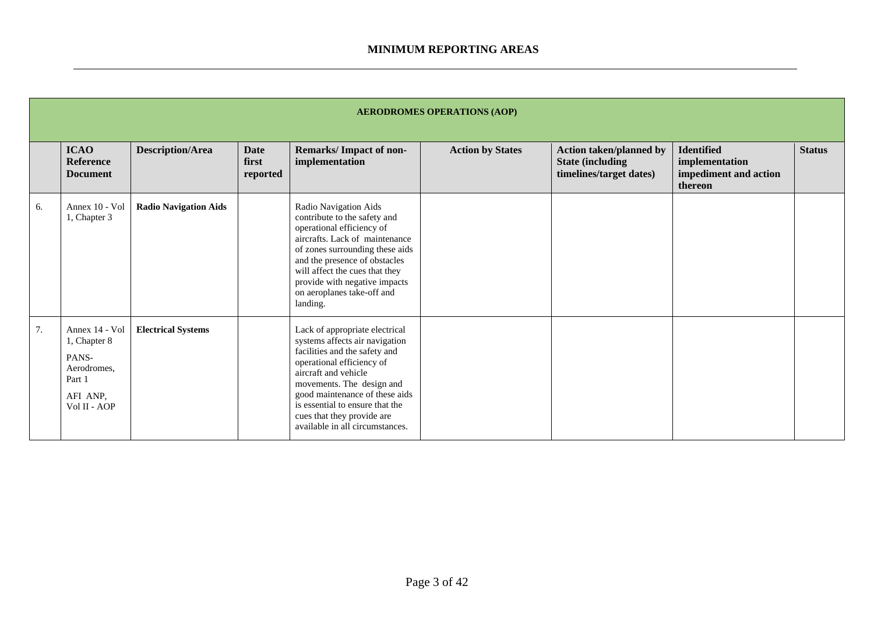|    | <b>AERODROMES OPERATIONS (AOP)</b>                                                           |                              |                                  |                                                                                                                                                                                                                                                                                                                           |                         |                                                                                       |                                                                         |               |  |  |
|----|----------------------------------------------------------------------------------------------|------------------------------|----------------------------------|---------------------------------------------------------------------------------------------------------------------------------------------------------------------------------------------------------------------------------------------------------------------------------------------------------------------------|-------------------------|---------------------------------------------------------------------------------------|-------------------------------------------------------------------------|---------------|--|--|
|    | <b>ICAO</b><br><b>Reference</b><br><b>Document</b>                                           | <b>Description/Area</b>      | <b>Date</b><br>first<br>reported | Remarks/Impact of non-<br>implementation                                                                                                                                                                                                                                                                                  | <b>Action by States</b> | <b>Action taken/planned by</b><br><b>State (including)</b><br>timelines/target dates) | <b>Identified</b><br>implementation<br>impediment and action<br>thereon | <b>Status</b> |  |  |
| 6. | Annex 10 - Vol<br>1, Chapter 3                                                               | <b>Radio Navigation Aids</b> |                                  | Radio Navigation Aids<br>contribute to the safety and<br>operational efficiency of<br>aircrafts. Lack of maintenance<br>of zones surrounding these aids<br>and the presence of obstacles<br>will affect the cues that they<br>provide with negative impacts<br>on aeroplanes take-off and<br>landing.                     |                         |                                                                                       |                                                                         |               |  |  |
| 7. | Annex 14 - Vol<br>1, Chapter 8<br>PANS-<br>Aerodromes,<br>Part 1<br>AFI ANP,<br>Vol II - AOP | <b>Electrical Systems</b>    |                                  | Lack of appropriate electrical<br>systems affects air navigation<br>facilities and the safety and<br>operational efficiency of<br>aircraft and vehicle<br>movements. The design and<br>good maintenance of these aids<br>is essential to ensure that the<br>cues that they provide are<br>available in all circumstances. |                         |                                                                                       |                                                                         |               |  |  |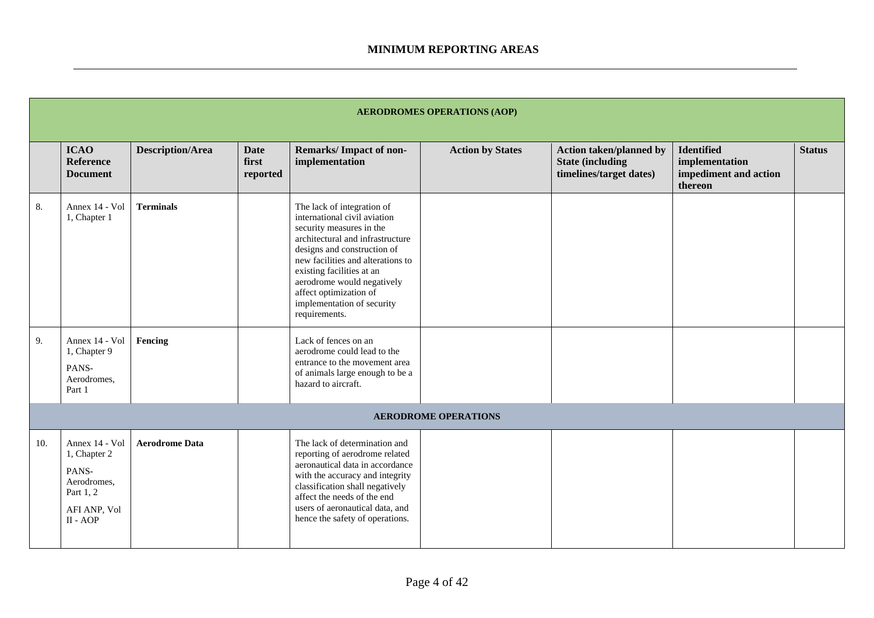|     | <b>AERODROMES OPERATIONS (AOP)</b>                                                                |                         |                                  |                                                                                                                                                                                                                                                                                                                                    |                             |                                                                                      |                                                                         |               |  |  |  |
|-----|---------------------------------------------------------------------------------------------------|-------------------------|----------------------------------|------------------------------------------------------------------------------------------------------------------------------------------------------------------------------------------------------------------------------------------------------------------------------------------------------------------------------------|-----------------------------|--------------------------------------------------------------------------------------|-------------------------------------------------------------------------|---------------|--|--|--|
|     | <b>ICAO</b><br><b>Reference</b><br><b>Document</b>                                                | <b>Description/Area</b> | <b>Date</b><br>first<br>reported | <b>Remarks/Impact of non-</b><br>implementation                                                                                                                                                                                                                                                                                    | <b>Action by States</b>     | <b>Action taken/planned by</b><br><b>State (including</b><br>timelines/target dates) | <b>Identified</b><br>implementation<br>impediment and action<br>thereon | <b>Status</b> |  |  |  |
| 8.  | Annex 14 - Vol<br>1, Chapter 1                                                                    | <b>Terminals</b>        |                                  | The lack of integration of<br>international civil aviation<br>security measures in the<br>architectural and infrastructure<br>designs and construction of<br>new facilities and alterations to<br>existing facilities at an<br>aerodrome would negatively<br>affect optimization of<br>implementation of security<br>requirements. |                             |                                                                                      |                                                                         |               |  |  |  |
| 9.  | Annex 14 - Vol<br>1, Chapter 9<br>PANS-<br>Aerodromes,<br>Part 1                                  | Fencing                 |                                  | Lack of fences on an<br>aerodrome could lead to the<br>entrance to the movement area<br>of animals large enough to be a<br>hazard to aircraft.                                                                                                                                                                                     |                             |                                                                                      |                                                                         |               |  |  |  |
|     |                                                                                                   |                         |                                  |                                                                                                                                                                                                                                                                                                                                    | <b>AERODROME OPERATIONS</b> |                                                                                      |                                                                         |               |  |  |  |
| 10. | Annex 14 - Vol<br>1, Chapter 2<br>PANS-<br>Aerodromes,<br>Part 1, 2<br>AFI ANP, Vol<br>$II - AOP$ | <b>Aerodrome Data</b>   |                                  | The lack of determination and<br>reporting of aerodrome related<br>aeronautical data in accordance<br>with the accuracy and integrity<br>classification shall negatively<br>affect the needs of the end<br>users of aeronautical data, and<br>hence the safety of operations.                                                      |                             |                                                                                      |                                                                         |               |  |  |  |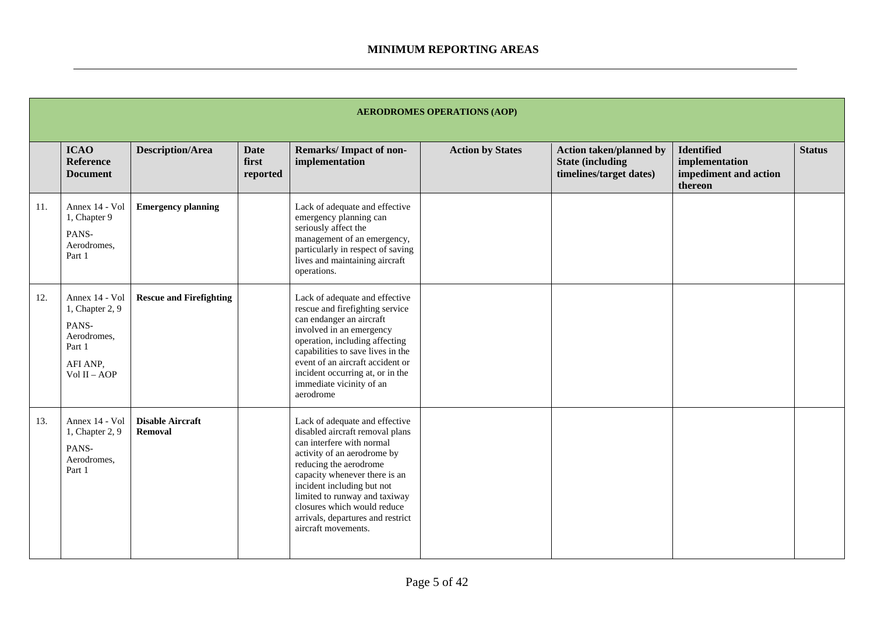|     | <b>AERODROMES OPERATIONS (AOP)</b>                                                                |                                    |                                  |                                                                                                                                                                                                                                                                                                                                                    |                         |                                                                                      |                                                                         |               |  |  |
|-----|---------------------------------------------------------------------------------------------------|------------------------------------|----------------------------------|----------------------------------------------------------------------------------------------------------------------------------------------------------------------------------------------------------------------------------------------------------------------------------------------------------------------------------------------------|-------------------------|--------------------------------------------------------------------------------------|-------------------------------------------------------------------------|---------------|--|--|
|     | <b>ICAO</b><br><b>Reference</b><br><b>Document</b>                                                | <b>Description/Area</b>            | <b>Date</b><br>first<br>reported | <b>Remarks/Impact of non-</b><br>implementation                                                                                                                                                                                                                                                                                                    | <b>Action by States</b> | <b>Action taken/planned by</b><br><b>State (including</b><br>timelines/target dates) | <b>Identified</b><br>implementation<br>impediment and action<br>thereon | <b>Status</b> |  |  |
| 11. | Annex 14 - Vol<br>1, Chapter 9<br>PANS-<br>Aerodromes,<br>Part 1                                  | <b>Emergency planning</b>          |                                  | Lack of adequate and effective<br>emergency planning can<br>seriously affect the<br>management of an emergency,<br>particularly in respect of saving<br>lives and maintaining aircraft<br>operations.                                                                                                                                              |                         |                                                                                      |                                                                         |               |  |  |
| 12. | Annex 14 - Vol<br>1, Chapter 2, 9<br>PANS-<br>Aerodromes,<br>Part 1<br>AFI ANP.<br>Vol $II - AOP$ | <b>Rescue and Firefighting</b>     |                                  | Lack of adequate and effective<br>rescue and firefighting service<br>can endanger an aircraft<br>involved in an emergency<br>operation, including affecting<br>capabilities to save lives in the<br>event of an aircraft accident or<br>incident occurring at, or in the<br>immediate vicinity of an<br>aerodrome                                  |                         |                                                                                      |                                                                         |               |  |  |
| 13. | Annex 14 - Vol<br>1, Chapter 2, 9<br>PANS-<br>Aerodromes,<br>Part 1                               | <b>Disable Aircraft</b><br>Removal |                                  | Lack of adequate and effective<br>disabled aircraft removal plans<br>can interfere with normal<br>activity of an aerodrome by<br>reducing the aerodrome<br>capacity whenever there is an<br>incident including but not<br>limited to runway and taxiway<br>closures which would reduce<br>arrivals, departures and restrict<br>aircraft movements. |                         |                                                                                      |                                                                         |               |  |  |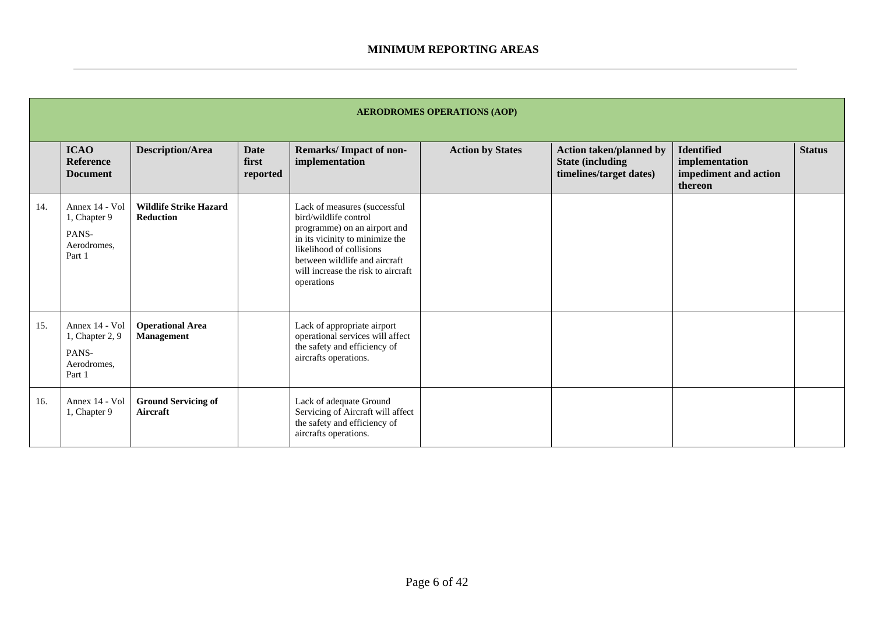|     | <b>AERODROMES OPERATIONS (AOP)</b>                                  |                                              |                                  |                                                                                                                                                                                                                                           |                         |                                                                                       |                                                                         |               |  |  |
|-----|---------------------------------------------------------------------|----------------------------------------------|----------------------------------|-------------------------------------------------------------------------------------------------------------------------------------------------------------------------------------------------------------------------------------------|-------------------------|---------------------------------------------------------------------------------------|-------------------------------------------------------------------------|---------------|--|--|
|     | <b>ICAO</b><br>Reference<br><b>Document</b>                         | <b>Description/Area</b>                      | <b>Date</b><br>first<br>reported | <b>Remarks/Impact of non-</b><br>implementation                                                                                                                                                                                           | <b>Action by States</b> | <b>Action taken/planned by</b><br><b>State (including)</b><br>timelines/target dates) | <b>Identified</b><br>implementation<br>impediment and action<br>thereon | <b>Status</b> |  |  |
| 14. | Annex 14 - Vol<br>1, Chapter 9<br>PANS-<br>Aerodromes,<br>Part 1    | <b>Wildlife Strike Hazard</b><br>Reduction   |                                  | Lack of measures (successful<br>bird/wildlife control<br>programme) on an airport and<br>in its vicinity to minimize the<br>likelihood of collisions<br>between wildlife and aircraft<br>will increase the risk to aircraft<br>operations |                         |                                                                                       |                                                                         |               |  |  |
| 15. | Annex 14 - Vol<br>1, Chapter 2, 9<br>PANS-<br>Aerodromes,<br>Part 1 | <b>Operational Area</b><br><b>Management</b> |                                  | Lack of appropriate airport<br>operational services will affect<br>the safety and efficiency of<br>aircrafts operations.                                                                                                                  |                         |                                                                                       |                                                                         |               |  |  |
| 16. | Annex 14 - Vol<br>1, Chapter 9                                      | <b>Ground Servicing of</b><br>Aircraft       |                                  | Lack of adequate Ground<br>Servicing of Aircraft will affect<br>the safety and efficiency of<br>aircrafts operations.                                                                                                                     |                         |                                                                                       |                                                                         |               |  |  |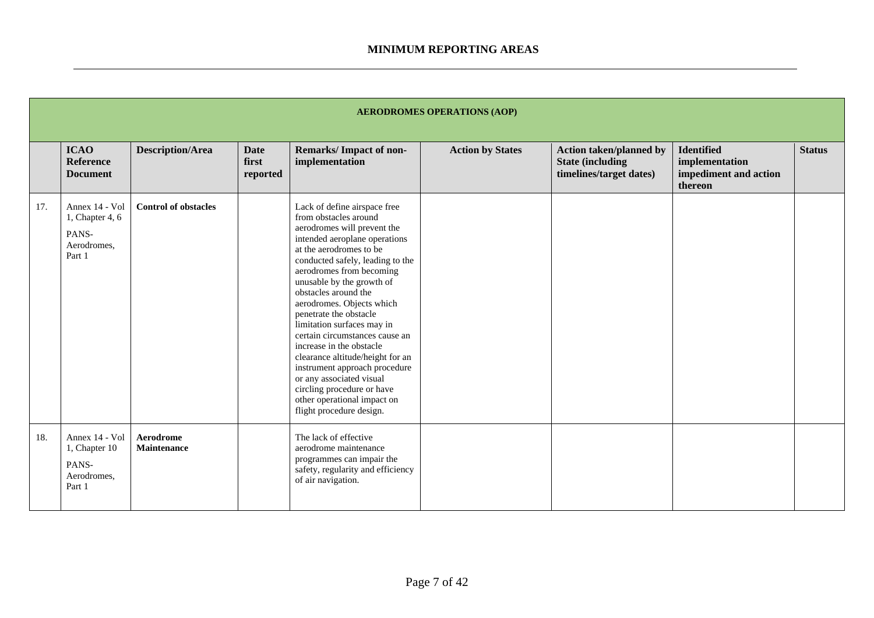|     | <b>AERODROMES OPERATIONS (AOP)</b>                                  |                                 |                                  |                                                                                                                                                                                                                                                                                                                                                                                                                                                                                                                                                                                                                    |                         |                                                                                       |                                                                         |               |  |  |
|-----|---------------------------------------------------------------------|---------------------------------|----------------------------------|--------------------------------------------------------------------------------------------------------------------------------------------------------------------------------------------------------------------------------------------------------------------------------------------------------------------------------------------------------------------------------------------------------------------------------------------------------------------------------------------------------------------------------------------------------------------------------------------------------------------|-------------------------|---------------------------------------------------------------------------------------|-------------------------------------------------------------------------|---------------|--|--|
|     | <b>ICAO</b><br><b>Reference</b><br><b>Document</b>                  | <b>Description/Area</b>         | <b>Date</b><br>first<br>reported | <b>Remarks/Impact of non-</b><br>implementation                                                                                                                                                                                                                                                                                                                                                                                                                                                                                                                                                                    | <b>Action by States</b> | <b>Action taken/planned by</b><br><b>State (including)</b><br>timelines/target dates) | <b>Identified</b><br>implementation<br>impediment and action<br>thereon | <b>Status</b> |  |  |
| 17. | Annex 14 - Vol<br>1, Chapter 4, 6<br>PANS-<br>Aerodromes,<br>Part 1 | <b>Control of obstacles</b>     |                                  | Lack of define airspace free<br>from obstacles around<br>aerodromes will prevent the<br>intended aeroplane operations<br>at the aerodromes to be<br>conducted safely, leading to the<br>aerodromes from becoming<br>unusable by the growth of<br>obstacles around the<br>aerodromes. Objects which<br>penetrate the obstacle<br>limitation surfaces may in<br>certain circumstances cause an<br>increase in the obstacle<br>clearance altitude/height for an<br>instrument approach procedure<br>or any associated visual<br>circling procedure or have<br>other operational impact on<br>flight procedure design. |                         |                                                                                       |                                                                         |               |  |  |
| 18. | Annex 14 - Vol<br>1, Chapter 10<br>PANS-<br>Aerodromes,<br>Part 1   | <b>Aerodrome</b><br>Maintenance |                                  | The lack of effective<br>aerodrome maintenance<br>programmes can impair the<br>safety, regularity and efficiency<br>of air navigation.                                                                                                                                                                                                                                                                                                                                                                                                                                                                             |                         |                                                                                       |                                                                         |               |  |  |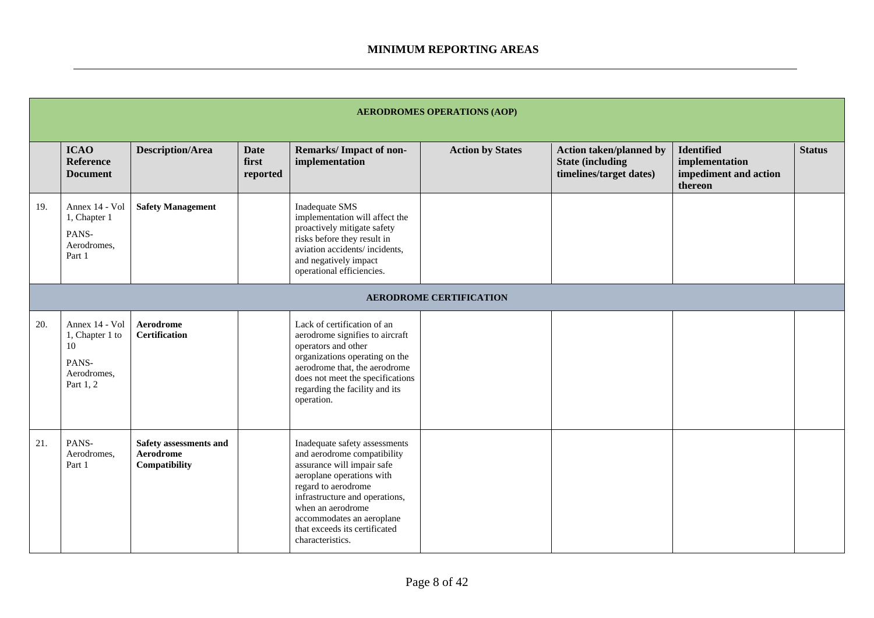|     | <b>AERODROMES OPERATIONS (AOP)</b>                                           |                                                             |                                  |                                                                                                                                                                                                                                                                                         |                         |                                                                                      |                                                                         |               |  |  |
|-----|------------------------------------------------------------------------------|-------------------------------------------------------------|----------------------------------|-----------------------------------------------------------------------------------------------------------------------------------------------------------------------------------------------------------------------------------------------------------------------------------------|-------------------------|--------------------------------------------------------------------------------------|-------------------------------------------------------------------------|---------------|--|--|
|     | <b>ICAO</b><br>Reference<br><b>Document</b>                                  | <b>Description/Area</b>                                     | <b>Date</b><br>first<br>reported | Remarks/Impact of non-<br>implementation                                                                                                                                                                                                                                                | <b>Action by States</b> | <b>Action taken/planned by</b><br><b>State (including</b><br>timelines/target dates) | <b>Identified</b><br>implementation<br>impediment and action<br>thereon | <b>Status</b> |  |  |
| 19. | Annex 14 - Vol<br>1, Chapter 1<br>PANS-<br>Aerodromes,<br>Part 1             | <b>Safety Management</b>                                    |                                  | <b>Inadequate SMS</b><br>implementation will affect the<br>proactively mitigate safety<br>risks before they result in<br>aviation accidents/incidents,<br>and negatively impact<br>operational efficiencies.                                                                            |                         |                                                                                      |                                                                         |               |  |  |
|     | <b>AERODROME CERTIFICATION</b>                                               |                                                             |                                  |                                                                                                                                                                                                                                                                                         |                         |                                                                                      |                                                                         |               |  |  |
| 20. | Annex 14 - Vol<br>1, Chapter 1 to<br>10<br>PANS-<br>Aerodromes.<br>Part 1, 2 | <b>Aerodrome</b><br><b>Certification</b>                    |                                  | Lack of certification of an<br>aerodrome signifies to aircraft<br>operators and other<br>organizations operating on the<br>aerodrome that, the aerodrome<br>does not meet the specifications<br>regarding the facility and its<br>operation.                                            |                         |                                                                                      |                                                                         |               |  |  |
| 21. | PANS-<br>Aerodromes.<br>Part 1                                               | Safety assessments and<br><b>Aerodrome</b><br>Compatibility |                                  | Inadequate safety assessments<br>and aerodrome compatibility<br>assurance will impair safe<br>aeroplane operations with<br>regard to aerodrome<br>infrastructure and operations,<br>when an aerodrome<br>accommodates an aeroplane<br>that exceeds its certificated<br>characteristics. |                         |                                                                                      |                                                                         |               |  |  |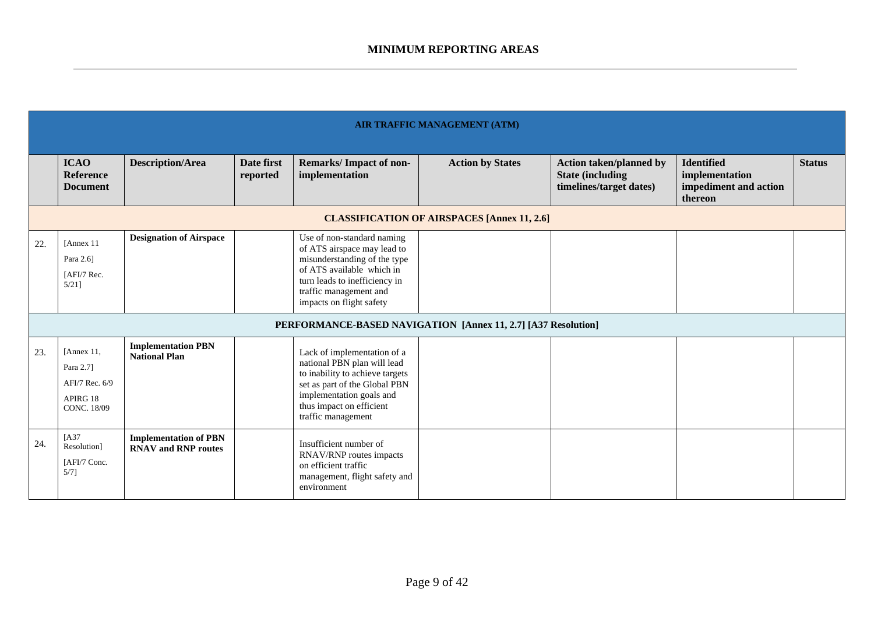|     | <b>AIR TRAFFIC MANAGEMENT (ATM)</b>                                  |                                                                   |                        |                                                                                                                                                                                                               |                                                               |                                                                                       |                                                                         |               |  |  |  |
|-----|----------------------------------------------------------------------|-------------------------------------------------------------------|------------------------|---------------------------------------------------------------------------------------------------------------------------------------------------------------------------------------------------------------|---------------------------------------------------------------|---------------------------------------------------------------------------------------|-------------------------------------------------------------------------|---------------|--|--|--|
|     | <b>ICAO</b><br>Reference<br><b>Document</b>                          | <b>Description/Area</b>                                           | Date first<br>reported | Remarks/Impact of non-<br>implementation                                                                                                                                                                      | <b>Action by States</b>                                       | <b>Action taken/planned by</b><br><b>State (including)</b><br>timelines/target dates) | <b>Identified</b><br>implementation<br>impediment and action<br>thereon | <b>Status</b> |  |  |  |
|     | <b>CLASSIFICATION OF AIRSPACES [Annex 11, 2.6]</b>                   |                                                                   |                        |                                                                                                                                                                                                               |                                                               |                                                                                       |                                                                         |               |  |  |  |
| 22. | [Annex 11]<br>Para 2.6<br>[AFI/7 Rec.<br>$5/21$ ]                    | <b>Designation of Airspace</b>                                    |                        | Use of non-standard naming<br>of ATS airspace may lead to<br>misunderstanding of the type<br>of ATS available which in<br>turn leads to inefficiency in<br>traffic management and<br>impacts on flight safety |                                                               |                                                                                       |                                                                         |               |  |  |  |
|     |                                                                      |                                                                   |                        |                                                                                                                                                                                                               | PERFORMANCE-BASED NAVIGATION [Annex 11, 2.7] [A37 Resolution] |                                                                                       |                                                                         |               |  |  |  |
| 23. | [Annex 11,<br>Para 2.71<br>AFI/7 Rec. 6/9<br>APIRG 18<br>CONC. 18/09 | <b>Implementation PBN</b><br><b>National Plan</b>                 |                        | Lack of implementation of a<br>national PBN plan will lead<br>to inability to achieve targets<br>set as part of the Global PBN<br>implementation goals and<br>thus impact on efficient<br>traffic management  |                                                               |                                                                                       |                                                                         |               |  |  |  |
| 24. | [A37<br>Resolution]<br>[AFI/7 Conc.<br>$5/7$ ]                       | <b>Implementation of PBN</b><br><b>RNAV</b> and <b>RNP</b> routes |                        | Insufficient number of<br>RNAV/RNP routes impacts<br>on efficient traffic<br>management, flight safety and<br>environment                                                                                     |                                                               |                                                                                       |                                                                         |               |  |  |  |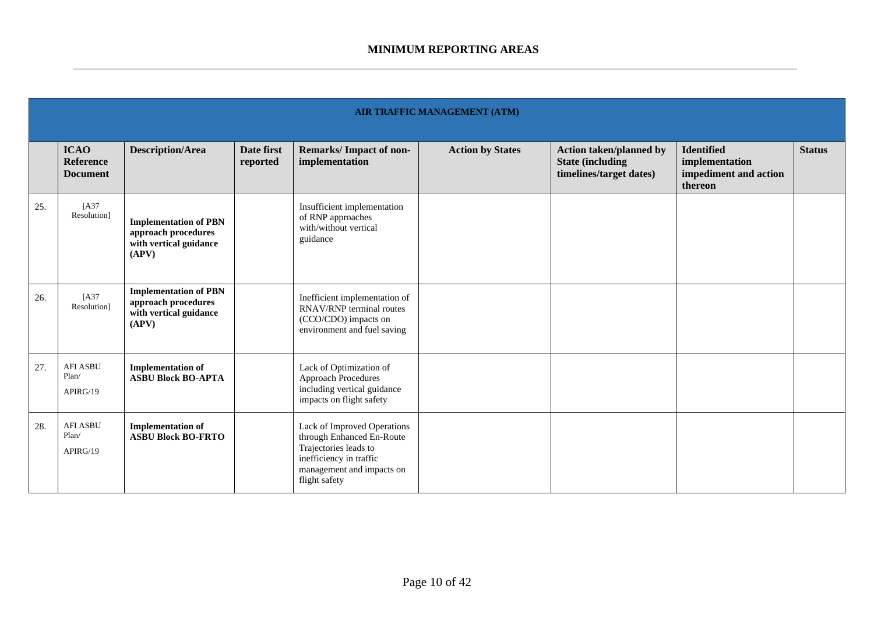|     | <b>AIR TRAFFIC MANAGEMENT (ATM)</b>                |                                                                                        |                        |                                                                                                                                                            |                         |                                                                                       |                                                                         |               |  |  |
|-----|----------------------------------------------------|----------------------------------------------------------------------------------------|------------------------|------------------------------------------------------------------------------------------------------------------------------------------------------------|-------------------------|---------------------------------------------------------------------------------------|-------------------------------------------------------------------------|---------------|--|--|
|     | <b>ICAO</b><br><b>Reference</b><br><b>Document</b> | <b>Description/Area</b>                                                                | Date first<br>reported | Remarks/Impact of non-<br>implementation                                                                                                                   | <b>Action by States</b> | <b>Action taken/planned by</b><br><b>State (including)</b><br>timelines/target dates) | <b>Identified</b><br>implementation<br>impediment and action<br>thereon | <b>Status</b> |  |  |
| 25. | [A37<br>Resolution]                                | <b>Implementation of PBN</b><br>approach procedures<br>with vertical guidance<br>(APV) |                        | Insufficient implementation<br>of RNP approaches<br>with/without vertical<br>guidance                                                                      |                         |                                                                                       |                                                                         |               |  |  |
| 26. | [A37<br>Resolution]                                | <b>Implementation of PBN</b><br>approach procedures<br>with vertical guidance<br>(APV) |                        | Inefficient implementation of<br>RNAV/RNP terminal routes<br>(CCO/CDO) impacts on<br>environment and fuel saving                                           |                         |                                                                                       |                                                                         |               |  |  |
| 27. | <b>AFI ASBU</b><br>Plan/<br>APIRG/19               | <b>Implementation of</b><br><b>ASBU Block BO-APTA</b>                                  |                        | Lack of Optimization of<br>Approach Procedures<br>including vertical guidance<br>impacts on flight safety                                                  |                         |                                                                                       |                                                                         |               |  |  |
| 28. | <b>AFI ASBU</b><br>Plan/<br>APIRG/19               | <b>Implementation of</b><br><b>ASBU Block BO-FRTO</b>                                  |                        | Lack of Improved Operations<br>through Enhanced En-Route<br>Trajectories leads to<br>inefficiency in traffic<br>management and impacts on<br>flight safety |                         |                                                                                       |                                                                         |               |  |  |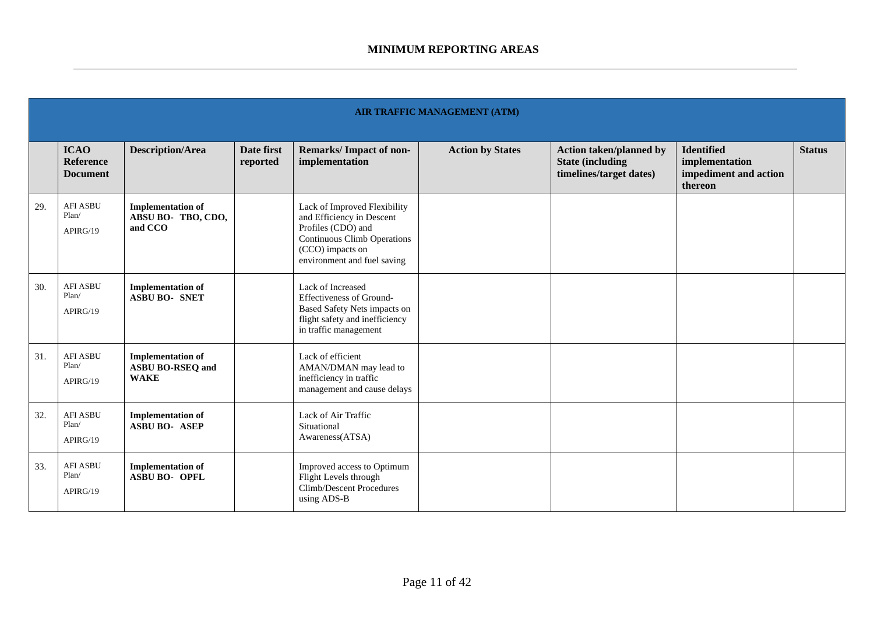|     | <b>AIR TRAFFIC MANAGEMENT (ATM)</b>                |                                                                    |                        |                                                                                                                                                                   |                         |                                                                                       |                                                                         |               |  |  |
|-----|----------------------------------------------------|--------------------------------------------------------------------|------------------------|-------------------------------------------------------------------------------------------------------------------------------------------------------------------|-------------------------|---------------------------------------------------------------------------------------|-------------------------------------------------------------------------|---------------|--|--|
|     |                                                    |                                                                    |                        |                                                                                                                                                                   |                         |                                                                                       |                                                                         |               |  |  |
|     | <b>ICAO</b><br><b>Reference</b><br><b>Document</b> | <b>Description/Area</b>                                            | Date first<br>reported | <b>Remarks/Impact of non-</b><br>implementation                                                                                                                   | <b>Action by States</b> | <b>Action taken/planned by</b><br><b>State (including)</b><br>timelines/target dates) | <b>Identified</b><br>implementation<br>impediment and action<br>thereon | <b>Status</b> |  |  |
| 29. | <b>AFI ASBU</b><br>Plan/<br>APIRG/19               | <b>Implementation of</b><br>ABSU BO- TBO, CDO,<br>and CCO          |                        | Lack of Improved Flexibility<br>and Efficiency in Descent<br>Profiles (CDO) and<br>Continuous Climb Operations<br>(CCO) impacts on<br>environment and fuel saving |                         |                                                                                       |                                                                         |               |  |  |
| 30. | <b>AFI ASBU</b><br>Plan/<br>APIRG/19               | <b>Implementation of</b><br><b>ASBU BO- SNET</b>                   |                        | Lack of Increased<br><b>Effectiveness of Ground-</b><br>Based Safety Nets impacts on<br>flight safety and inefficiency<br>in traffic management                   |                         |                                                                                       |                                                                         |               |  |  |
| 31. | <b>AFI ASBU</b><br>Plan/<br>APIRG/19               | <b>Implementation of</b><br><b>ASBU BO-RSEQ and</b><br><b>WAKE</b> |                        | Lack of efficient<br>AMAN/DMAN may lead to<br>inefficiency in traffic<br>management and cause delays                                                              |                         |                                                                                       |                                                                         |               |  |  |
| 32. | <b>AFI ASBU</b><br>Plan/<br>APIRG/19               | <b>Implementation of</b><br><b>ASBU BO- ASEP</b>                   |                        | Lack of Air Traffic<br>Situational<br>Awareness(ATSA)                                                                                                             |                         |                                                                                       |                                                                         |               |  |  |
| 33. | <b>AFI ASBU</b><br>Plan/<br>APIRG/19               | <b>Implementation of</b><br><b>ASBU BO- OPFL</b>                   |                        | Improved access to Optimum<br>Flight Levels through<br>Climb/Descent Procedures<br>using ADS-B                                                                    |                         |                                                                                       |                                                                         |               |  |  |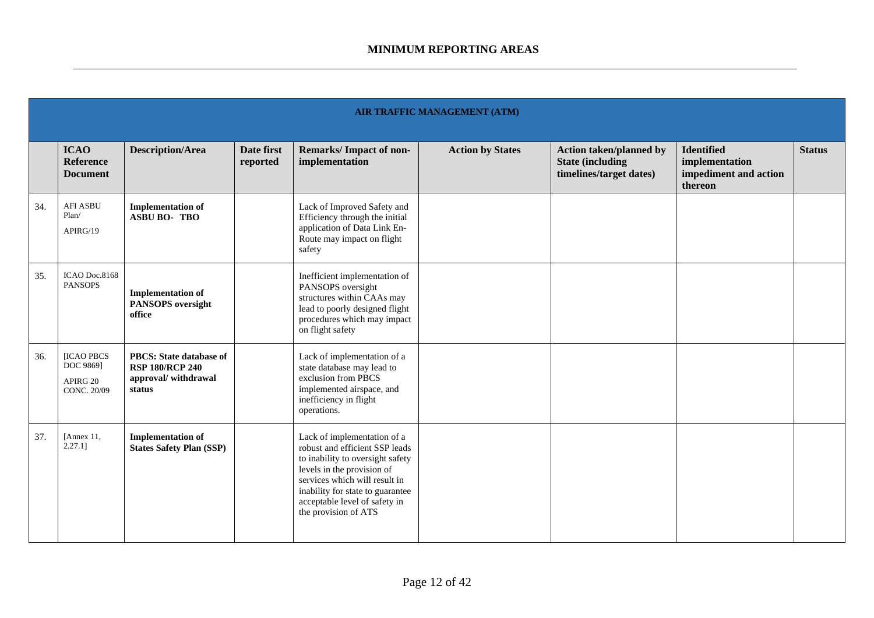|     | <b>AIR TRAFFIC MANAGEMENT (ATM)</b>                       |                                                                                           |                        |                                                                                                                                                                                                                                                               |                         |                                                                                       |                                                                         |               |  |  |
|-----|-----------------------------------------------------------|-------------------------------------------------------------------------------------------|------------------------|---------------------------------------------------------------------------------------------------------------------------------------------------------------------------------------------------------------------------------------------------------------|-------------------------|---------------------------------------------------------------------------------------|-------------------------------------------------------------------------|---------------|--|--|
|     | <b>ICAO</b><br>Reference<br><b>Document</b>               | <b>Description/Area</b>                                                                   | Date first<br>reported | <b>Remarks/Impact of non-</b><br>implementation                                                                                                                                                                                                               | <b>Action by States</b> | <b>Action taken/planned by</b><br><b>State (including)</b><br>timelines/target dates) | <b>Identified</b><br>implementation<br>impediment and action<br>thereon | <b>Status</b> |  |  |
| 34. | <b>AFI ASBU</b><br>Plan/<br>APIRG/19                      | <b>Implementation of</b><br><b>ASBU BO-TBO</b>                                            |                        | Lack of Improved Safety and<br>Efficiency through the initial<br>application of Data Link En-<br>Route may impact on flight<br>safety                                                                                                                         |                         |                                                                                       |                                                                         |               |  |  |
| 35. | ICAO Doc.8168<br><b>PANSOPS</b>                           | <b>Implementation of</b><br><b>PANSOPS</b> oversight<br>office                            |                        | Inefficient implementation of<br>PANSOPS oversight<br>structures within CAAs may<br>lead to poorly designed flight<br>procedures which may impact<br>on flight safety                                                                                         |                         |                                                                                       |                                                                         |               |  |  |
| 36. | <b>IICAO PBCS</b><br>DOC 9869]<br>APIRG 20<br>CONC. 20/09 | <b>PBCS:</b> State database of<br><b>RSP 180/RCP 240</b><br>approval/withdrawal<br>status |                        | Lack of implementation of a<br>state database may lead to<br>exclusion from PBCS<br>implemented airspace, and<br>inefficiency in flight<br>operations.                                                                                                        |                         |                                                                                       |                                                                         |               |  |  |
| 37. | [Annex 11,<br>$2.27.1$ ]                                  | <b>Implementation of</b><br><b>States Safety Plan (SSP)</b>                               |                        | Lack of implementation of a<br>robust and efficient SSP leads<br>to inability to oversight safety<br>levels in the provision of<br>services which will result in<br>inability for state to guarantee<br>acceptable level of safety in<br>the provision of ATS |                         |                                                                                       |                                                                         |               |  |  |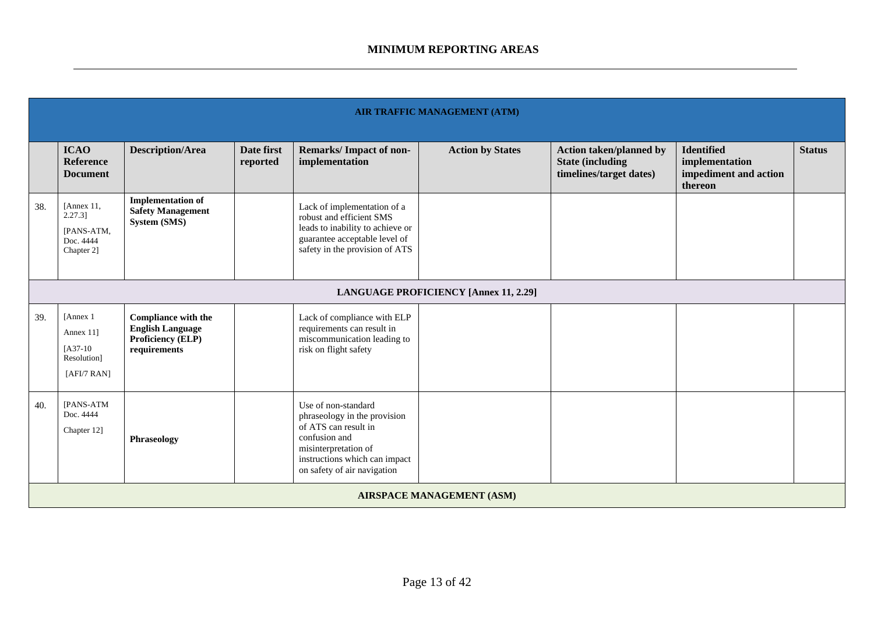|     | AIR TRAFFIC MANAGEMENT (ATM)                                      |                                                                                     |                        |                                                                                                                                                                                      |                         |                                                                                       |                                                                         |               |  |  |
|-----|-------------------------------------------------------------------|-------------------------------------------------------------------------------------|------------------------|--------------------------------------------------------------------------------------------------------------------------------------------------------------------------------------|-------------------------|---------------------------------------------------------------------------------------|-------------------------------------------------------------------------|---------------|--|--|
|     | <b>ICAO</b><br><b>Reference</b><br><b>Document</b>                | <b>Description/Area</b>                                                             | Date first<br>reported | <b>Remarks/Impact of non-</b><br>implementation                                                                                                                                      | <b>Action by States</b> | <b>Action taken/planned by</b><br><b>State (including)</b><br>timelines/target dates) | <b>Identified</b><br>implementation<br>impediment and action<br>thereon | <b>Status</b> |  |  |
| 38. | [Annex 11,<br>$2.27.3$ ]<br>[PANS-ATM,<br>Doc. 4444<br>Chapter 2] | <b>Implementation of</b><br><b>Safety Management</b><br>System (SMS)                |                        | Lack of implementation of a<br>robust and efficient SMS<br>leads to inability to achieve or<br>guarantee acceptable level of<br>safety in the provision of ATS                       |                         |                                                                                       |                                                                         |               |  |  |
|     | <b>LANGUAGE PROFICIENCY [Annex 11, 2.29]</b>                      |                                                                                     |                        |                                                                                                                                                                                      |                         |                                                                                       |                                                                         |               |  |  |
| 39. | [Annex 1<br>Annex 11]<br>$[A37-10]$<br>Resolution]<br>[AFI/7 RAN] | Compliance with the<br><b>English Language</b><br>Proficiency (ELP)<br>requirements |                        | Lack of compliance with ELP<br>requirements can result in<br>miscommunication leading to<br>risk on flight safety                                                                    |                         |                                                                                       |                                                                         |               |  |  |
| 40. | [PANS-ATM<br>Doc. 4444<br>Chapter 12]                             | Phraseology                                                                         |                        | Use of non-standard<br>phraseology in the provision<br>of ATS can result in<br>confusion and<br>misinterpretation of<br>instructions which can impact<br>on safety of air navigation |                         |                                                                                       |                                                                         |               |  |  |
|     | <b>AIRSPACE MANAGEMENT (ASM)</b>                                  |                                                                                     |                        |                                                                                                                                                                                      |                         |                                                                                       |                                                                         |               |  |  |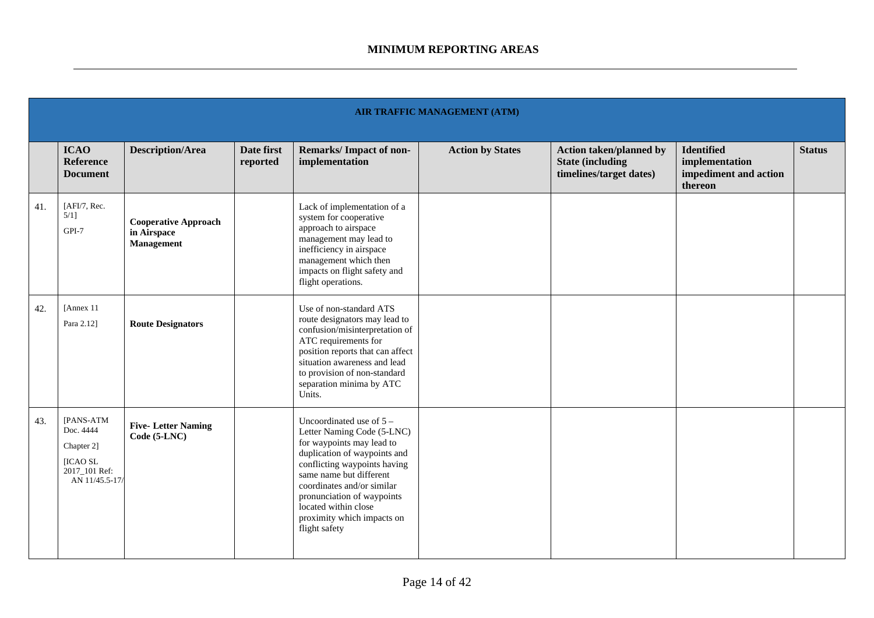|     | <b>AIR TRAFFIC MANAGEMENT (ATM)</b>                                                 |                                                          |                        |                                                                                                                                                                                                                                                                                                                     |                         |                                                                                       |                                                                         |               |  |
|-----|-------------------------------------------------------------------------------------|----------------------------------------------------------|------------------------|---------------------------------------------------------------------------------------------------------------------------------------------------------------------------------------------------------------------------------------------------------------------------------------------------------------------|-------------------------|---------------------------------------------------------------------------------------|-------------------------------------------------------------------------|---------------|--|
|     | <b>ICAO</b><br><b>Reference</b><br><b>Document</b>                                  | <b>Description/Area</b>                                  | Date first<br>reported | <b>Remarks/Impact of non-</b><br>implementation                                                                                                                                                                                                                                                                     | <b>Action by States</b> | <b>Action taken/planned by</b><br><b>State (including)</b><br>timelines/target dates) | <b>Identified</b><br>implementation<br>impediment and action<br>thereon | <b>Status</b> |  |
| 41. | [AFI/7, Rec.<br>5/11<br>GPI-7                                                       | <b>Cooperative Approach</b><br>in Airspace<br>Management |                        | Lack of implementation of a<br>system for cooperative<br>approach to airspace<br>management may lead to<br>inefficiency in airspace<br>management which then<br>impacts on flight safety and<br>flight operations.                                                                                                  |                         |                                                                                       |                                                                         |               |  |
| 42. | [Annex 11]<br>Para 2.12]                                                            | <b>Route Designators</b>                                 |                        | Use of non-standard ATS<br>route designators may lead to<br>confusion/misinterpretation of<br>ATC requirements for<br>position reports that can affect<br>situation awareness and lead<br>to provision of non-standard<br>separation minima by ATC<br>Units.                                                        |                         |                                                                                       |                                                                         |               |  |
| 43. | [PANS-ATM<br>Doc. 4444<br>Chapter 2]<br>[ICAO SL<br>2017_101 Ref:<br>AN 11/45.5-17/ | <b>Five-Letter Naming</b><br>Code (5-LNC)                |                        | Uncoordinated use of $5 -$<br>Letter Naming Code (5-LNC)<br>for waypoints may lead to<br>duplication of waypoints and<br>conflicting waypoints having<br>same name but different<br>coordinates and/or similar<br>pronunciation of waypoints<br>located within close<br>proximity which impacts on<br>flight safety |                         |                                                                                       |                                                                         |               |  |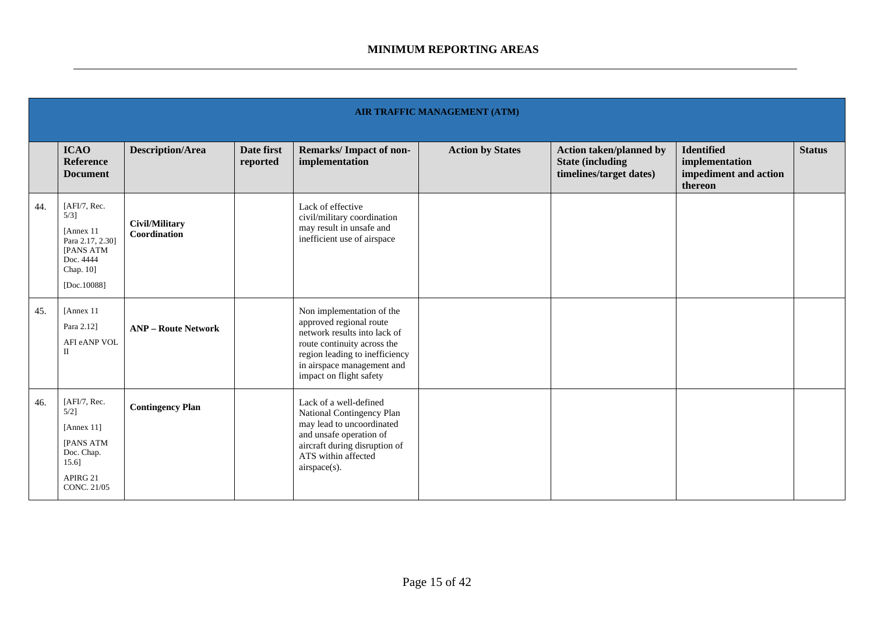|     | <b>AIR TRAFFIC MANAGEMENT (ATM)</b>                                                                                    |                                       |                        |                                                                                                                                                                                                                |                         |                                                                                       |                                                                         |               |  |
|-----|------------------------------------------------------------------------------------------------------------------------|---------------------------------------|------------------------|----------------------------------------------------------------------------------------------------------------------------------------------------------------------------------------------------------------|-------------------------|---------------------------------------------------------------------------------------|-------------------------------------------------------------------------|---------------|--|
|     | <b>ICAO</b><br><b>Reference</b><br><b>Document</b>                                                                     | <b>Description/Area</b>               | Date first<br>reported | Remarks/Impact of non-<br>implementation                                                                                                                                                                       | <b>Action by States</b> | <b>Action taken/planned by</b><br><b>State (including)</b><br>timelines/target dates) | <b>Identified</b><br>implementation<br>impediment and action<br>thereon | <b>Status</b> |  |
| 44. | [AFI/7, Rec.<br>$5/3$ ]<br>[Annex 11]<br>Para 2.17, 2.30]<br><b>[PANS ATM</b><br>Doc. 4444<br>Chap. 10]<br>[Doc.10088] | <b>Civil/Military</b><br>Coordination |                        | Lack of effective<br>civil/military coordination<br>may result in unsafe and<br>inefficient use of airspace                                                                                                    |                         |                                                                                       |                                                                         |               |  |
| 45. | [Annex 11]<br>Para 2.12]<br>AFI eANP VOL<br>П                                                                          | <b>ANP</b> – Route Network            |                        | Non implementation of the<br>approved regional route<br>network results into lack of<br>route continuity across the<br>region leading to inefficiency<br>in airspace management and<br>impact on flight safety |                         |                                                                                       |                                                                         |               |  |
| 46. | [AFI/7, Rec.]<br>$5/2$ ]<br>[Annex $11$ ]<br><b>IPANS ATM</b><br>Doc. Chap.<br>15.6]<br>APIRG 21<br>CONC. 21/05        | <b>Contingency Plan</b>               |                        | Lack of a well-defined<br>National Contingency Plan<br>may lead to uncoordinated<br>and unsafe operation of<br>aircraft during disruption of<br>ATS within affected<br>airspace(s).                            |                         |                                                                                       |                                                                         |               |  |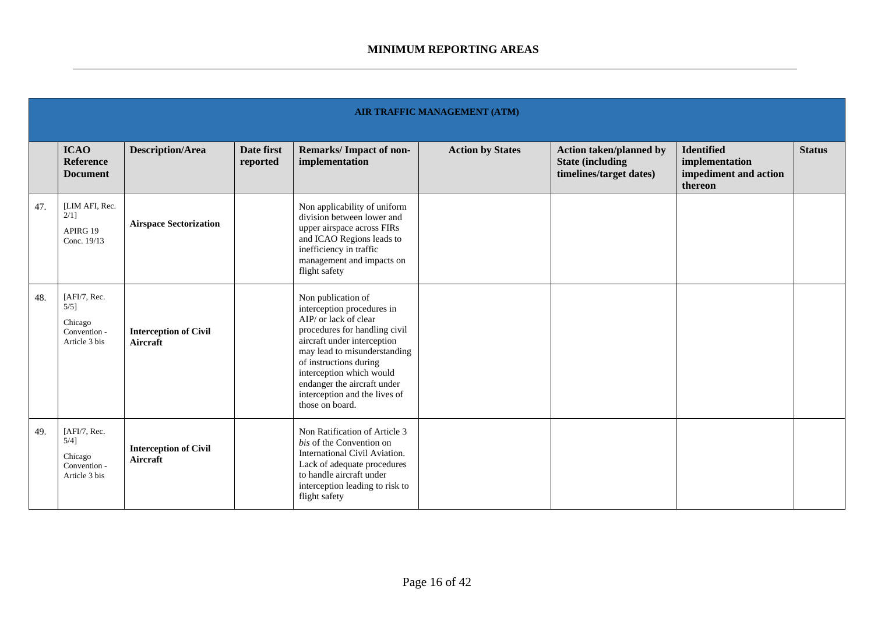|     | <b>AIR TRAFFIC MANAGEMENT (ATM)</b>                                 |                                          |                        |                                                                                                                                                                                                                                                                                                                    |                         |                                                                                       |                                                                         |               |  |
|-----|---------------------------------------------------------------------|------------------------------------------|------------------------|--------------------------------------------------------------------------------------------------------------------------------------------------------------------------------------------------------------------------------------------------------------------------------------------------------------------|-------------------------|---------------------------------------------------------------------------------------|-------------------------------------------------------------------------|---------------|--|
|     |                                                                     |                                          |                        |                                                                                                                                                                                                                                                                                                                    |                         |                                                                                       |                                                                         |               |  |
|     | <b>ICAO</b><br><b>Reference</b><br><b>Document</b>                  | <b>Description/Area</b>                  | Date first<br>reported | <b>Remarks/Impact of non-</b><br>implementation                                                                                                                                                                                                                                                                    | <b>Action by States</b> | <b>Action taken/planned by</b><br><b>State (including)</b><br>timelines/target dates) | <b>Identified</b><br>implementation<br>impediment and action<br>thereon | <b>Status</b> |  |
| 47. | [LIM AFI, Rec.<br>$2/1$ ]<br>APIRG 19<br>Conc. 19/13                | <b>Airspace Sectorization</b>            |                        | Non applicability of uniform<br>division between lower and<br>upper airspace across FIRs<br>and ICAO Regions leads to<br>inefficiency in traffic<br>management and impacts on<br>flight safety                                                                                                                     |                         |                                                                                       |                                                                         |               |  |
| 48. | [AFI/7, Rec.<br>$5/5$ ]<br>Chicago<br>Convention -<br>Article 3 bis | <b>Interception of Civil</b><br>Aircraft |                        | Non publication of<br>interception procedures in<br>AIP/ or lack of clear<br>procedures for handling civil<br>aircraft under interception<br>may lead to misunderstanding<br>of instructions during<br>interception which would<br>endanger the aircraft under<br>interception and the lives of<br>those on board. |                         |                                                                                       |                                                                         |               |  |
| 49. | [AFI/7, Rec.<br>$5/4$ ]<br>Chicago<br>Convention -<br>Article 3 bis | <b>Interception of Civil</b><br>Aircraft |                        | Non Ratification of Article 3<br>bis of the Convention on<br>International Civil Aviation.<br>Lack of adequate procedures<br>to handle aircraft under<br>interception leading to risk to<br>flight safety                                                                                                          |                         |                                                                                       |                                                                         |               |  |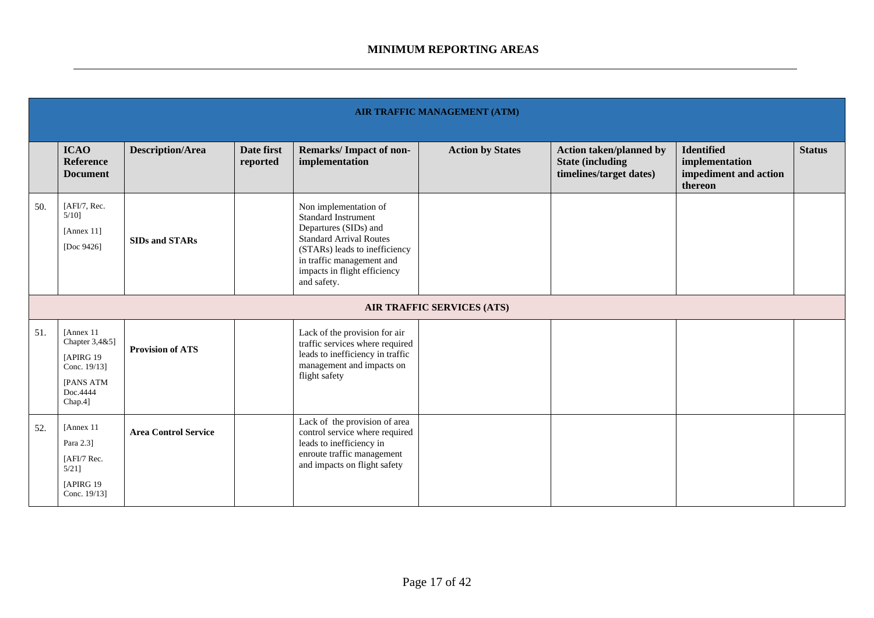|     | <b>AIR TRAFFIC MANAGEMENT (ATM)</b>                                                            |                             |                        |                                                                                                                                                                                                                             |                                   |                                                                                      |                                                                         |               |  |  |
|-----|------------------------------------------------------------------------------------------------|-----------------------------|------------------------|-----------------------------------------------------------------------------------------------------------------------------------------------------------------------------------------------------------------------------|-----------------------------------|--------------------------------------------------------------------------------------|-------------------------------------------------------------------------|---------------|--|--|
|     | <b>ICAO</b><br><b>Reference</b><br><b>Document</b>                                             | <b>Description/Area</b>     | Date first<br>reported | Remarks/Impact of non-<br>implementation                                                                                                                                                                                    | <b>Action by States</b>           | <b>Action taken/planned by</b><br><b>State (including</b><br>timelines/target dates) | <b>Identified</b><br>implementation<br>impediment and action<br>thereon | <b>Status</b> |  |  |
| 50. | [AFI/7, Rec.<br>$5/10$ ]<br>[Annex $11$ ]<br>[Doc 9426]                                        | <b>SIDs and STARs</b>       |                        | Non implementation of<br><b>Standard Instrument</b><br>Departures (SIDs) and<br><b>Standard Arrival Routes</b><br>(STARs) leads to inefficiency<br>in traffic management and<br>impacts in flight efficiency<br>and safety. |                                   |                                                                                      |                                                                         |               |  |  |
|     |                                                                                                |                             |                        |                                                                                                                                                                                                                             | <b>AIR TRAFFIC SERVICES (ATS)</b> |                                                                                      |                                                                         |               |  |  |
| 51. | [Annex 11]<br>Chapter 3,4&5]<br>[APIRG 19]<br>Conc. 19/13]<br>[PANS ATM<br>Doc.4444<br>Chap.4] | <b>Provision of ATS</b>     |                        | Lack of the provision for air<br>traffic services where required<br>leads to inefficiency in traffic<br>management and impacts on<br>flight safety                                                                          |                                   |                                                                                      |                                                                         |               |  |  |
| 52. | [Annex 11]<br>Para 2.3]<br>[AFI/7 Rec.<br>$5/21$ ]<br>[APIRG 19]<br>Conc. 19/13]               | <b>Area Control Service</b> |                        | Lack of the provision of area<br>control service where required<br>leads to inefficiency in<br>enroute traffic management<br>and impacts on flight safety                                                                   |                                   |                                                                                      |                                                                         |               |  |  |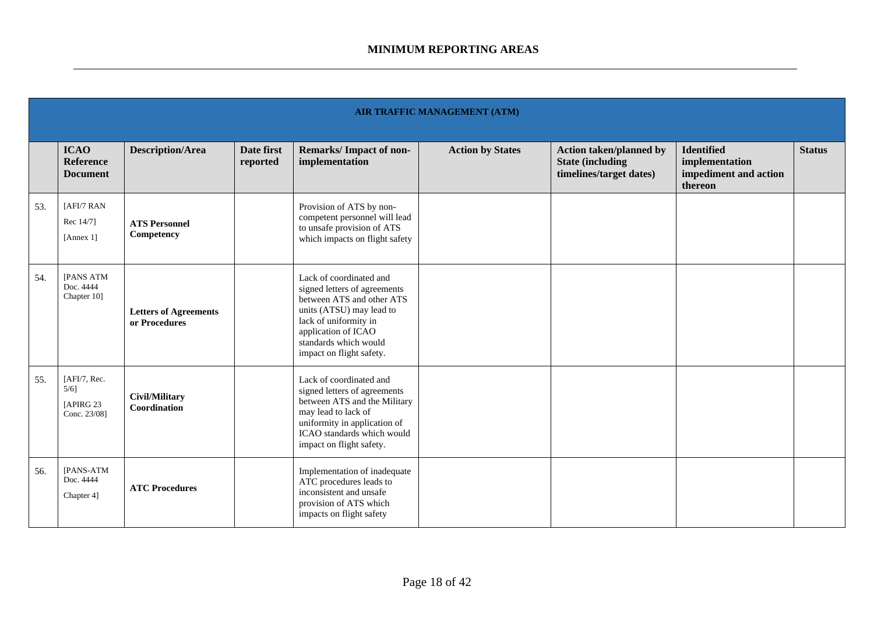|     | <b>AIR TRAFFIC MANAGEMENT (ATM)</b>                   |                                               |                        |                                                                                                                                                                                                                       |                         |                                                                                      |                                                                         |               |  |  |
|-----|-------------------------------------------------------|-----------------------------------------------|------------------------|-----------------------------------------------------------------------------------------------------------------------------------------------------------------------------------------------------------------------|-------------------------|--------------------------------------------------------------------------------------|-------------------------------------------------------------------------|---------------|--|--|
|     |                                                       |                                               |                        |                                                                                                                                                                                                                       |                         |                                                                                      |                                                                         |               |  |  |
|     | <b>ICAO</b><br><b>Reference</b><br><b>Document</b>    | <b>Description/Area</b>                       | Date first<br>reported | Remarks/Impact of non-<br>implementation                                                                                                                                                                              | <b>Action by States</b> | <b>Action taken/planned by</b><br><b>State (including</b><br>timelines/target dates) | <b>Identified</b><br>implementation<br>impediment and action<br>thereon | <b>Status</b> |  |  |
| 53. | [AFI/7 RAN<br>Rec 14/7]<br>[Annex 1]                  | <b>ATS Personnel</b><br>Competency            |                        | Provision of ATS by non-<br>competent personnel will lead<br>to unsafe provision of ATS<br>which impacts on flight safety                                                                                             |                         |                                                                                      |                                                                         |               |  |  |
| 54. | <b>IPANS ATM</b><br>Doc. 4444<br>Chapter 10]          | <b>Letters of Agreements</b><br>or Procedures |                        | Lack of coordinated and<br>signed letters of agreements<br>between ATS and other ATS<br>units (ATSU) may lead to<br>lack of uniformity in<br>application of ICAO<br>standards which would<br>impact on flight safety. |                         |                                                                                      |                                                                         |               |  |  |
| 55. | [AFI/7, Rec.<br>$5/6$ ]<br>[APIRG 23]<br>Conc. 23/08] | Civil/Military<br>Coordination                |                        | Lack of coordinated and<br>signed letters of agreements<br>between ATS and the Military<br>may lead to lack of<br>uniformity in application of<br>ICAO standards which would<br>impact on flight safety.              |                         |                                                                                      |                                                                         |               |  |  |
| 56. | <b>IPANS-ATM</b><br>Doc. 4444<br>Chapter 4]           | <b>ATC Procedures</b>                         |                        | Implementation of inadequate<br>ATC procedures leads to<br>inconsistent and unsafe<br>provision of ATS which<br>impacts on flight safety                                                                              |                         |                                                                                      |                                                                         |               |  |  |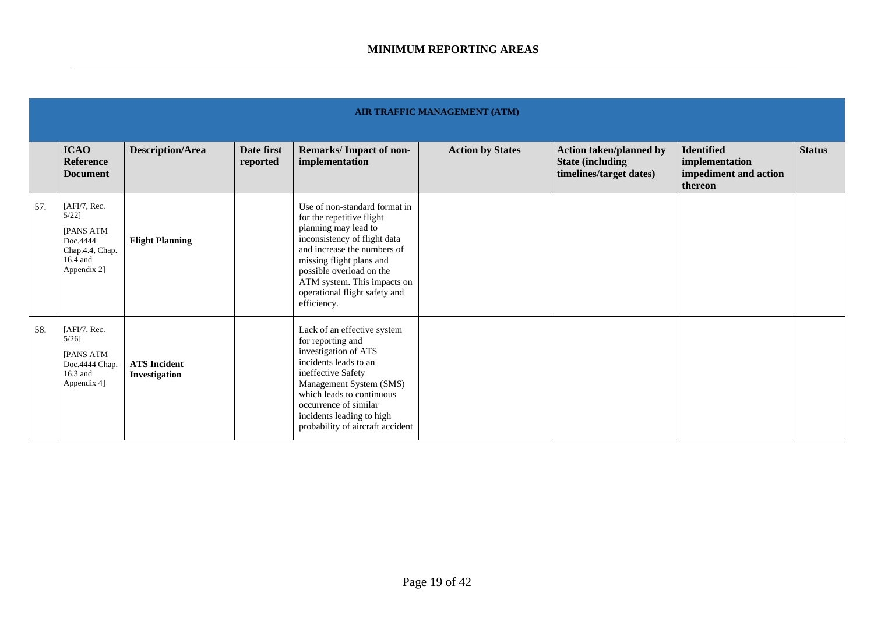|     |                                                                                                        |                                      |                        |                                                                                                                                                                                                                                                                                          | <b>AIR TRAFFIC MANAGEMENT (ATM)</b> |                                                                                       |                                                                         |               |
|-----|--------------------------------------------------------------------------------------------------------|--------------------------------------|------------------------|------------------------------------------------------------------------------------------------------------------------------------------------------------------------------------------------------------------------------------------------------------------------------------------|-------------------------------------|---------------------------------------------------------------------------------------|-------------------------------------------------------------------------|---------------|
|     | <b>ICAO</b><br><b>Reference</b><br><b>Document</b>                                                     | <b>Description/Area</b>              | Date first<br>reported | <b>Remarks/Impact of non-</b><br>implementation                                                                                                                                                                                                                                          | <b>Action by States</b>             | <b>Action taken/planned by</b><br><b>State (including)</b><br>timelines/target dates) | <b>Identified</b><br>implementation<br>impediment and action<br>thereon | <b>Status</b> |
| 57. | [AFI/7, Rec.<br>$5/22$ ]<br><b>IPANS ATM</b><br>Doc.4444<br>Chap.4.4, Chap.<br>16.4 and<br>Appendix 2] | <b>Flight Planning</b>               |                        | Use of non-standard format in<br>for the repetitive flight<br>planning may lead to<br>inconsistency of flight data<br>and increase the numbers of<br>missing flight plans and<br>possible overload on the<br>ATM system. This impacts on<br>operational flight safety and<br>efficiency. |                                     |                                                                                       |                                                                         |               |
| 58. | [AFI/7, Rec.<br>$5/26$ ]<br><b>[PANS ATM</b><br>Doc.4444 Chap.<br>16.3 and<br>Appendix 4]              | <b>ATS</b> Incident<br>Investigation |                        | Lack of an effective system<br>for reporting and<br>investigation of ATS<br>incidents leads to an<br>ineffective Safety<br>Management System (SMS)<br>which leads to continuous<br>occurrence of similar<br>incidents leading to high<br>probability of aircraft accident                |                                     |                                                                                       |                                                                         |               |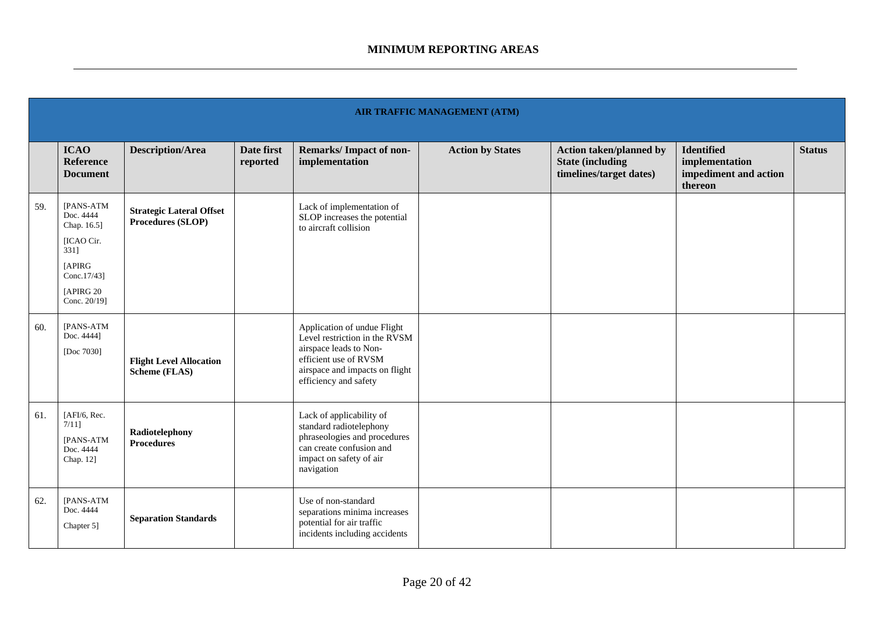|     |                                                                                                                           |                                                      |                        |                                                                                                                                                                            | <b>AIR TRAFFIC MANAGEMENT (ATM)</b> |                                                                                      |                                                                         |               |
|-----|---------------------------------------------------------------------------------------------------------------------------|------------------------------------------------------|------------------------|----------------------------------------------------------------------------------------------------------------------------------------------------------------------------|-------------------------------------|--------------------------------------------------------------------------------------|-------------------------------------------------------------------------|---------------|
|     | <b>ICAO</b><br><b>Reference</b><br><b>Document</b>                                                                        | <b>Description/Area</b>                              | Date first<br>reported | Remarks/Impact of non-<br>implementation                                                                                                                                   | <b>Action by States</b>             | <b>Action taken/planned by</b><br><b>State (including</b><br>timelines/target dates) | <b>Identified</b><br>implementation<br>impediment and action<br>thereon | <b>Status</b> |
| 59. | [PANS-ATM<br>Doc. 4444<br>Chap. 16.5]<br>[ICAO Cir.<br>331]<br><b>[APIRG</b><br>Conc.17/43]<br>[APIRG 20]<br>Conc. 20/19] | <b>Strategic Lateral Offset</b><br>Procedures (SLOP) |                        | Lack of implementation of<br>SLOP increases the potential<br>to aircraft collision                                                                                         |                                     |                                                                                      |                                                                         |               |
| 60. | [PANS-ATM<br>Doc. 4444]<br>[Doc 7030]                                                                                     | <b>Flight Level Allocation</b><br>Scheme (FLAS)      |                        | Application of undue Flight<br>Level restriction in the RVSM<br>airspace leads to Non-<br>efficient use of RVSM<br>airspace and impacts on flight<br>efficiency and safety |                                     |                                                                                      |                                                                         |               |
| 61. | [ $AFI/6$ , Rec.<br>$7/11$ ]<br>[PANS-ATM<br>Doc. 4444<br>Chap. 12]                                                       | Radiotelephony<br><b>Procedures</b>                  |                        | Lack of applicability of<br>standard radiotelephony<br>phraseologies and procedures<br>can create confusion and<br>impact on safety of air<br>navigation                   |                                     |                                                                                      |                                                                         |               |
| 62. | [PANS-ATM<br>Doc. 4444<br>Chapter 5]                                                                                      | <b>Separation Standards</b>                          |                        | Use of non-standard<br>separations minima increases<br>potential for air traffic<br>incidents including accidents                                                          |                                     |                                                                                      |                                                                         |               |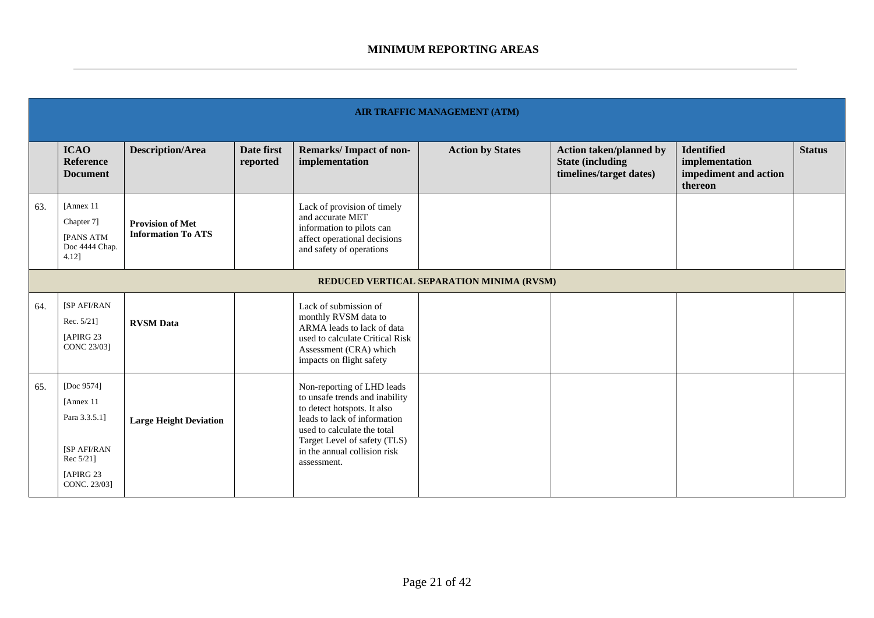|     | <b>AIR TRAFFIC MANAGEMENT (ATM)</b>                                                                |                                                      |                        |                                                                                                                                                                                                                                           |                         |                                                                                       |                                                                         |               |  |
|-----|----------------------------------------------------------------------------------------------------|------------------------------------------------------|------------------------|-------------------------------------------------------------------------------------------------------------------------------------------------------------------------------------------------------------------------------------------|-------------------------|---------------------------------------------------------------------------------------|-------------------------------------------------------------------------|---------------|--|
|     | <b>ICAO</b><br><b>Reference</b><br><b>Document</b>                                                 | <b>Description/Area</b>                              | Date first<br>reported | Remarks/Impact of non-<br>implementation                                                                                                                                                                                                  | <b>Action by States</b> | <b>Action taken/planned by</b><br><b>State (including)</b><br>timelines/target dates) | <b>Identified</b><br>implementation<br>impediment and action<br>thereon | <b>Status</b> |  |
| 63. | [Annex 11]<br>Chapter 7]<br><b>IPANS ATM</b><br>Doc 4444 Chap.<br>4.12]                            | <b>Provision of Met</b><br><b>Information To ATS</b> |                        | Lack of provision of timely<br>and accurate MET<br>information to pilots can<br>affect operational decisions<br>and safety of operations                                                                                                  |                         |                                                                                       |                                                                         |               |  |
|     | REDUCED VERTICAL SEPARATION MINIMA (RVSM)                                                          |                                                      |                        |                                                                                                                                                                                                                                           |                         |                                                                                       |                                                                         |               |  |
| 64. | <b>[SP AFI/RAN</b><br>Rec. 5/21]<br>[APIRG 23]<br><b>CONC 23/031</b>                               | <b>RVSM</b> Data                                     |                        | Lack of submission of<br>monthly RVSM data to<br>ARMA leads to lack of data<br>used to calculate Critical Risk<br>Assessment (CRA) which<br>impacts on flight safety                                                                      |                         |                                                                                       |                                                                         |               |  |
| 65. | [Doc 9574]<br>[Annex 11]<br>Para 3.3.5.1]<br>[SP AFI/RAN<br>Rec 5/21]<br>[APIRG 23<br>CONC. 23/03] | <b>Large Height Deviation</b>                        |                        | Non-reporting of LHD leads<br>to unsafe trends and inability<br>to detect hotspots. It also<br>leads to lack of information<br>used to calculate the total<br>Target Level of safety (TLS)<br>in the annual collision risk<br>assessment. |                         |                                                                                       |                                                                         |               |  |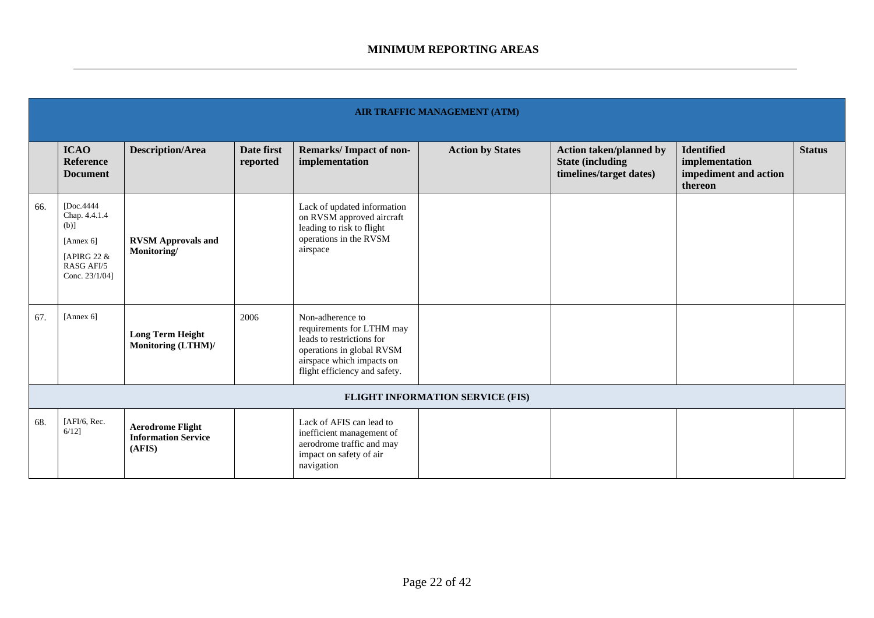|     | <b>AIR TRAFFIC MANAGEMENT (ATM)</b>                                                                     |                                                                 |                        |                                                                                                                                                                       |                                         |                                                                                      |                                                                         |               |  |  |
|-----|---------------------------------------------------------------------------------------------------------|-----------------------------------------------------------------|------------------------|-----------------------------------------------------------------------------------------------------------------------------------------------------------------------|-----------------------------------------|--------------------------------------------------------------------------------------|-------------------------------------------------------------------------|---------------|--|--|
|     | <b>ICAO</b><br><b>Reference</b><br><b>Document</b>                                                      | <b>Description/Area</b>                                         | Date first<br>reported | Remarks/Impact of non-<br>implementation                                                                                                                              | <b>Action by States</b>                 | <b>Action taken/planned by</b><br><b>State (including</b><br>timelines/target dates) | <b>Identified</b><br>implementation<br>impediment and action<br>thereon | <b>Status</b> |  |  |
| 66. | [Doc.4444]<br>Chap. 4.4.1.4<br>$(b)$ ]<br>[Annex $6$ ]<br>[APIRG 22 $&$<br>RASG AFI/5<br>Conc. 23/1/04] | <b>RVSM Approvals and</b><br>Monitoring/                        |                        | Lack of updated information<br>on RVSM approved aircraft<br>leading to risk to flight<br>operations in the RVSM<br>airspace                                           |                                         |                                                                                      |                                                                         |               |  |  |
| 67. | [Annex 6]                                                                                               | <b>Long Term Height</b><br>Monitoring (LTHM)/                   | 2006                   | Non-adherence to<br>requirements for LTHM may<br>leads to restrictions for<br>operations in global RVSM<br>airspace which impacts on<br>flight efficiency and safety. |                                         |                                                                                      |                                                                         |               |  |  |
|     |                                                                                                         |                                                                 |                        |                                                                                                                                                                       | <b>FLIGHT INFORMATION SERVICE (FIS)</b> |                                                                                      |                                                                         |               |  |  |
| 68. | [AFI/6, Rec.]<br>$6/12$ ]                                                                               | <b>Aerodrome Flight</b><br><b>Information Service</b><br>(AFIS) |                        | Lack of AFIS can lead to<br>inefficient management of<br>aerodrome traffic and may<br>impact on safety of air<br>navigation                                           |                                         |                                                                                      |                                                                         |               |  |  |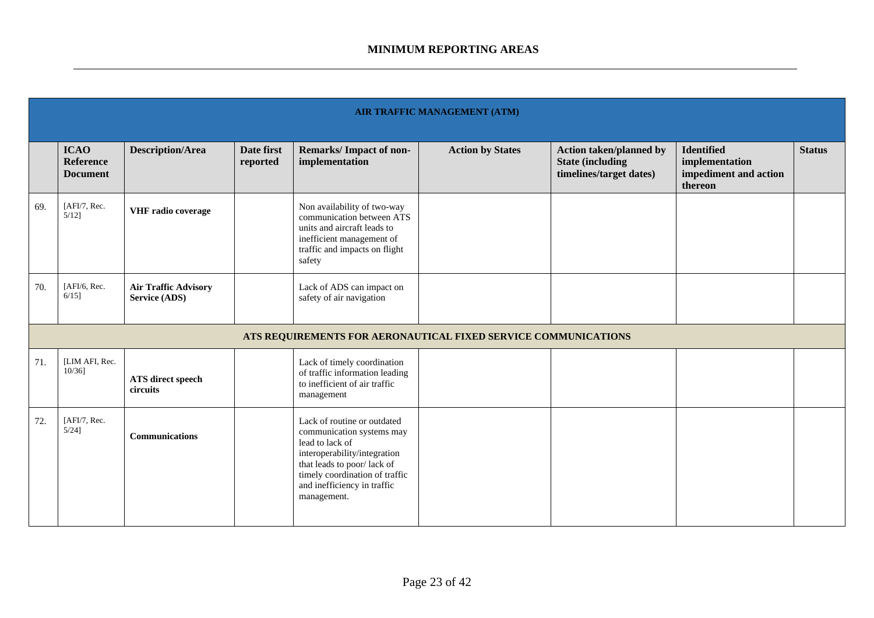|     |                                                    |                                                     |                        |                                                                                                                                                                                                                           | <b>AIR TRAFFIC MANAGEMENT (ATM)</b>                            |                                                                                      |                                                                         |               |
|-----|----------------------------------------------------|-----------------------------------------------------|------------------------|---------------------------------------------------------------------------------------------------------------------------------------------------------------------------------------------------------------------------|----------------------------------------------------------------|--------------------------------------------------------------------------------------|-------------------------------------------------------------------------|---------------|
|     | <b>ICAO</b><br><b>Reference</b><br><b>Document</b> | <b>Description/Area</b>                             | Date first<br>reported | <b>Remarks/Impact of non-</b><br>implementation                                                                                                                                                                           | <b>Action by States</b>                                        | <b>Action taken/planned by</b><br><b>State (including</b><br>timelines/target dates) | <b>Identified</b><br>implementation<br>impediment and action<br>thereon | <b>Status</b> |
| 69. | [AFI/7, Rec.<br>$5/12$ ]                           | <b>VHF</b> radio coverage                           |                        | Non availability of two-way<br>communication between ATS<br>units and aircraft leads to<br>inefficient management of<br>traffic and impacts on flight<br>safety                                                           |                                                                |                                                                                      |                                                                         |               |
| 70. | [ $AFI/6$ , Rec.<br>$6/15$ ]                       | <b>Air Traffic Advisory</b><br><b>Service (ADS)</b> |                        | Lack of ADS can impact on<br>safety of air navigation                                                                                                                                                                     |                                                                |                                                                                      |                                                                         |               |
|     |                                                    |                                                     |                        |                                                                                                                                                                                                                           | ATS REQUIREMENTS FOR AERONAUTICAL FIXED SERVICE COMMUNICATIONS |                                                                                      |                                                                         |               |
| 71. | [LIM AFI, Rec.<br>$10/36$ ]                        | <b>ATS</b> direct speech<br>circuits                |                        | Lack of timely coordination<br>of traffic information leading<br>to inefficient of air traffic<br>management                                                                                                              |                                                                |                                                                                      |                                                                         |               |
| 72. | [AFI/7, Rec.<br>$5/24$ ]                           | <b>Communications</b>                               |                        | Lack of routine or outdated<br>communication systems may<br>lead to lack of<br>interoperability/integration<br>that leads to poor/lack of<br>timely coordination of traffic<br>and inefficiency in traffic<br>management. |                                                                |                                                                                      |                                                                         |               |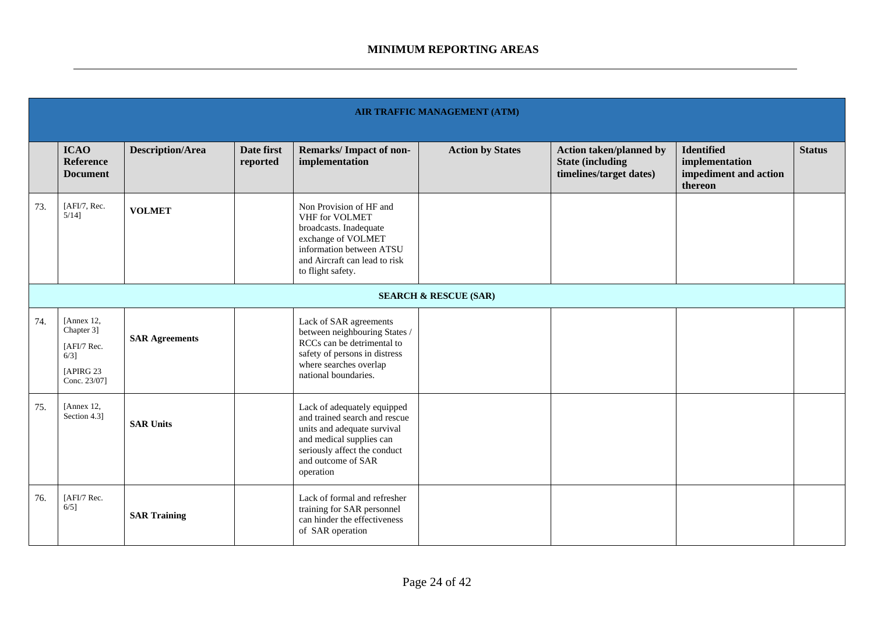|     | <b>AIR TRAFFIC MANAGEMENT (ATM)</b>                                                 |                         |                        |                                                                                                                                                                                            |                         |                                                                                       |                                                                         |               |  |  |
|-----|-------------------------------------------------------------------------------------|-------------------------|------------------------|--------------------------------------------------------------------------------------------------------------------------------------------------------------------------------------------|-------------------------|---------------------------------------------------------------------------------------|-------------------------------------------------------------------------|---------------|--|--|
|     | <b>ICAO</b><br><b>Reference</b><br><b>Document</b>                                  | <b>Description/Area</b> | Date first<br>reported | <b>Remarks/Impact of non-</b><br>implementation                                                                                                                                            | <b>Action by States</b> | <b>Action taken/planned by</b><br><b>State (including)</b><br>timelines/target dates) | <b>Identified</b><br>implementation<br>impediment and action<br>thereon | <b>Status</b> |  |  |
| 73. | [AFI/7, Rec.<br>$5/14$ ]                                                            | <b>VOLMET</b>           |                        | Non Provision of HF and<br>VHF for VOLMET<br>broadcasts. Inadequate<br>exchange of VOLMET<br>information between ATSU<br>and Aircraft can lead to risk<br>to flight safety.                |                         |                                                                                       |                                                                         |               |  |  |
|     | <b>SEARCH &amp; RESCUE (SAR)</b>                                                    |                         |                        |                                                                                                                                                                                            |                         |                                                                                       |                                                                         |               |  |  |
| 74. | [Annex $12$ ,<br>Chapter 3]<br>[AFI/7 Rec.<br>$6/3$ ]<br>[APIRG 23]<br>Conc. 23/07] | <b>SAR Agreements</b>   |                        | Lack of SAR agreements<br>between neighbouring States /<br>RCCs can be detrimental to<br>safety of persons in distress<br>where searches overlap<br>national boundaries.                   |                         |                                                                                       |                                                                         |               |  |  |
| 75. | [Annex 12,<br>Section 4.3]                                                          | <b>SAR Units</b>        |                        | Lack of adequately equipped<br>and trained search and rescue<br>units and adequate survival<br>and medical supplies can<br>seriously affect the conduct<br>and outcome of SAR<br>operation |                         |                                                                                       |                                                                         |               |  |  |
| 76. | [AFI/7 Rec.<br>$6/5$ ]                                                              | <b>SAR Training</b>     |                        | Lack of formal and refresher<br>training for SAR personnel<br>can hinder the effectiveness<br>of SAR operation                                                                             |                         |                                                                                       |                                                                         |               |  |  |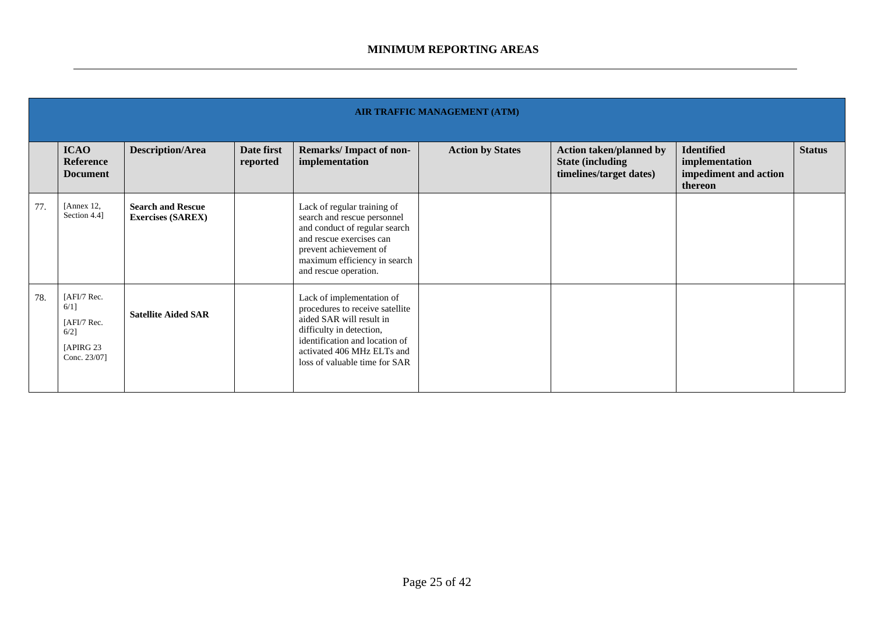|     | AIR TRAFFIC MANAGEMENT (ATM)                                                   |                                                      |                        |                                                                                                                                                                                                                       |                         |                                                                                       |                                                                         |               |  |  |  |
|-----|--------------------------------------------------------------------------------|------------------------------------------------------|------------------------|-----------------------------------------------------------------------------------------------------------------------------------------------------------------------------------------------------------------------|-------------------------|---------------------------------------------------------------------------------------|-------------------------------------------------------------------------|---------------|--|--|--|
|     | <b>ICAO</b><br>Reference<br><b>Document</b>                                    | <b>Description/Area</b>                              | Date first<br>reported | Remarks/Impact of non-<br>implementation                                                                                                                                                                              | <b>Action by States</b> | <b>Action taken/planned by</b><br><b>State (including)</b><br>timelines/target dates) | <b>Identified</b><br>implementation<br>impediment and action<br>thereon | <b>Status</b> |  |  |  |
| 77. | [Annex $12$ ,<br>Section 4.4]                                                  | <b>Search and Rescue</b><br><b>Exercises (SAREX)</b> |                        | Lack of regular training of<br>search and rescue personnel<br>and conduct of regular search<br>and rescue exercises can<br>prevent achievement of<br>maximum efficiency in search<br>and rescue operation.            |                         |                                                                                       |                                                                         |               |  |  |  |
| 78. | [AFI/7 Rec.<br>$6/1$ ]<br>[AFI/7 Rec.<br>$6/2$ ]<br>[APIRG 23]<br>Conc. 23/07] | <b>Satellite Aided SAR</b>                           |                        | Lack of implementation of<br>procedures to receive satellite<br>aided SAR will result in<br>difficulty in detection,<br>identification and location of<br>activated 406 MHz ELTs and<br>loss of valuable time for SAR |                         |                                                                                       |                                                                         |               |  |  |  |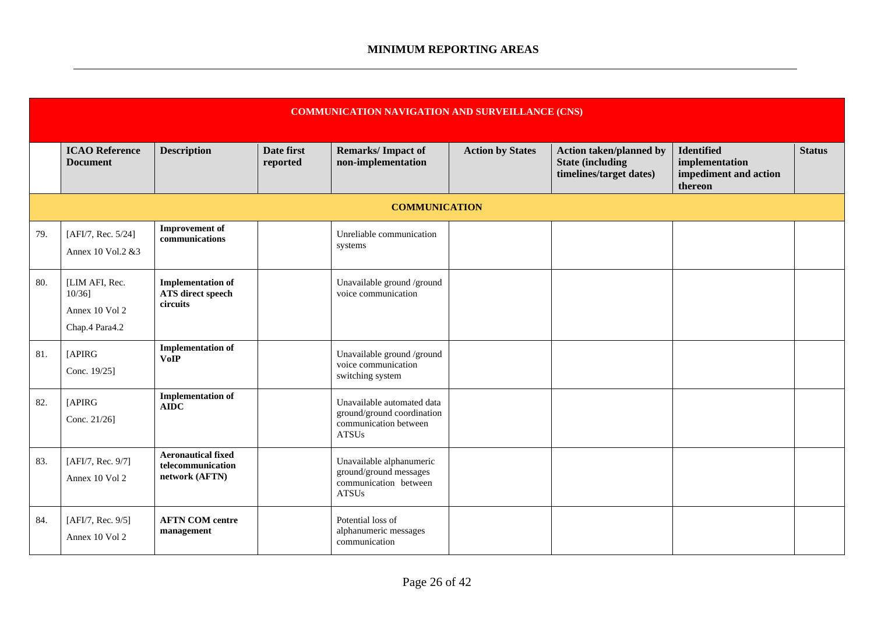|     | <b>COMMUNICATION NAVIGATION AND SURVEILLANCE (CNS)</b>                 |                                                                  |                        |                                                                                                   |                         |                                                                                      |                                                                         |               |  |  |  |
|-----|------------------------------------------------------------------------|------------------------------------------------------------------|------------------------|---------------------------------------------------------------------------------------------------|-------------------------|--------------------------------------------------------------------------------------|-------------------------------------------------------------------------|---------------|--|--|--|
|     | <b>ICAO Reference</b><br><b>Document</b>                               | <b>Description</b>                                               | Date first<br>reported | <b>Remarks/Impact of</b><br>non-implementation                                                    | <b>Action by States</b> | <b>Action taken/planned by</b><br><b>State (including</b><br>timelines/target dates) | <b>Identified</b><br>implementation<br>impediment and action<br>thereon | <b>Status</b> |  |  |  |
|     | <b>COMMUNICATION</b>                                                   |                                                                  |                        |                                                                                                   |                         |                                                                                      |                                                                         |               |  |  |  |
| 79. | [AFI/7, Rec. 5/24]<br>Annex 10 Vol.2 &3                                | <b>Improvement</b> of<br>communications                          |                        | Unreliable communication<br>systems                                                               |                         |                                                                                      |                                                                         |               |  |  |  |
| 80. | <b>ILIM AFI, Rec.</b><br>$10/36$ ]<br>Annex 10 Vol 2<br>Chap.4 Para4.2 | <b>Implementation of</b><br>ATS direct speech<br>circuits        |                        | Unavailable ground /ground<br>voice communication                                                 |                         |                                                                                      |                                                                         |               |  |  |  |
| 81. | <b>[APIRG</b><br>Conc. 19/25]                                          | <b>Implementation of</b><br><b>VoIP</b>                          |                        | Unavailable ground /ground<br>voice communication<br>switching system                             |                         |                                                                                      |                                                                         |               |  |  |  |
| 82. | [APIRG<br>Conc. 21/26]                                                 | <b>Implementation of</b><br><b>AIDC</b>                          |                        | Unavailable automated data<br>ground/ground coordination<br>communication between<br><b>ATSUs</b> |                         |                                                                                      |                                                                         |               |  |  |  |
| 83. | [AFI/7, Rec. 9/7]<br>Annex 10 Vol 2                                    | <b>Aeronautical fixed</b><br>telecommunication<br>network (AFTN) |                        | Unavailable alphanumeric<br>ground/ground messages<br>communication between<br><b>ATSUs</b>       |                         |                                                                                      |                                                                         |               |  |  |  |
| 84. | [AFI/7, Rec. 9/5]<br>Annex 10 Vol 2                                    | <b>AFTN COM centre</b><br>management                             |                        | Potential loss of<br>alphanumeric messages<br>communication                                       |                         |                                                                                      |                                                                         |               |  |  |  |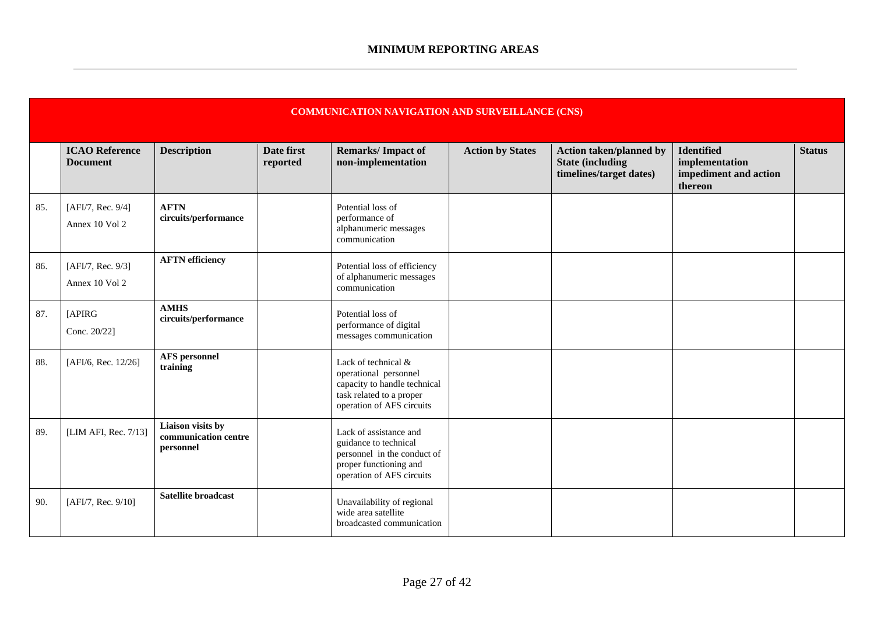|     | <b>COMMUNICATION NAVIGATION AND SURVEILLANCE (CNS)</b> |                                                        |                        |                                                                                                                                       |                         |                                                                                      |                                                                         |               |  |
|-----|--------------------------------------------------------|--------------------------------------------------------|------------------------|---------------------------------------------------------------------------------------------------------------------------------------|-------------------------|--------------------------------------------------------------------------------------|-------------------------------------------------------------------------|---------------|--|
|     | <b>ICAO Reference</b><br><b>Document</b>               | <b>Description</b>                                     | Date first<br>reported | <b>Remarks/Impact of</b><br>non-implementation                                                                                        | <b>Action by States</b> | <b>Action taken/planned by</b><br><b>State (including</b><br>timelines/target dates) | <b>Identified</b><br>implementation<br>impediment and action<br>thereon | <b>Status</b> |  |
| 85. | [AFI/7, Rec. 9/4]<br>Annex 10 Vol 2                    | <b>AFTN</b><br>circuits/performance                    |                        | Potential loss of<br>performance of<br>alphanumeric messages<br>communication                                                         |                         |                                                                                      |                                                                         |               |  |
| 86. | [AFI/7, Rec. 9/3]<br>Annex 10 Vol 2                    | <b>AFTN</b> efficiency                                 |                        | Potential loss of efficiency<br>of alphanumeric messages<br>communication                                                             |                         |                                                                                      |                                                                         |               |  |
| 87. | [APIRG<br>Conc. 20/22]                                 | <b>AMHS</b><br>circuits/performance                    |                        | Potential loss of<br>performance of digital<br>messages communication                                                                 |                         |                                                                                      |                                                                         |               |  |
| 88. | [AFI/6, Rec. 12/26]                                    | <b>AFS</b> personnel<br>training                       |                        | Lack of technical &<br>operational personnel<br>capacity to handle technical<br>task related to a proper<br>operation of AFS circuits |                         |                                                                                      |                                                                         |               |  |
| 89. | [LIM AFI, Rec. 7/13]                                   | Liaison visits by<br>communication centre<br>personnel |                        | Lack of assistance and<br>guidance to technical<br>personnel in the conduct of<br>proper functioning and<br>operation of AFS circuits |                         |                                                                                      |                                                                         |               |  |
| 90. | [AFI/7, Rec. 9/10]                                     | <b>Satellite broadcast</b>                             |                        | Unavailability of regional<br>wide area satellite<br>broadcasted communication                                                        |                         |                                                                                      |                                                                         |               |  |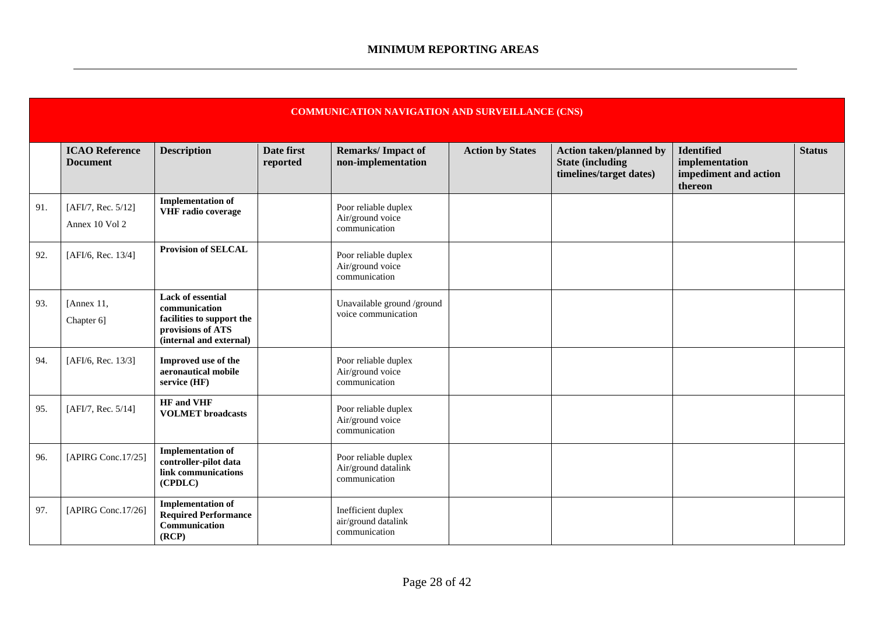|     | <b>COMMUNICATION NAVIGATION AND SURVEILLANCE (CNS)</b> |                                                                                                                        |                        |                                                              |                         |                                                                                      |                                                                         |               |  |  |
|-----|--------------------------------------------------------|------------------------------------------------------------------------------------------------------------------------|------------------------|--------------------------------------------------------------|-------------------------|--------------------------------------------------------------------------------------|-------------------------------------------------------------------------|---------------|--|--|
|     | <b>ICAO Reference</b><br><b>Document</b>               | <b>Description</b>                                                                                                     | Date first<br>reported | <b>Remarks/Impact of</b><br>non-implementation               | <b>Action by States</b> | <b>Action taken/planned by</b><br><b>State (including</b><br>timelines/target dates) | <b>Identified</b><br>implementation<br>impediment and action<br>thereon | <b>Status</b> |  |  |
| 91. | [AFI/7, Rec. 5/12]<br>Annex 10 Vol 2                   | <b>Implementation of</b><br>VHF radio coverage                                                                         |                        | Poor reliable duplex<br>Air/ground voice<br>communication    |                         |                                                                                      |                                                                         |               |  |  |
| 92. | [AFI/6, Rec. 13/4]                                     | <b>Provision of SELCAL</b>                                                                                             |                        | Poor reliable duplex<br>Air/ground voice<br>communication    |                         |                                                                                      |                                                                         |               |  |  |
| 93. | [Annex $11$ ,<br>Chapter 6]                            | <b>Lack of essential</b><br>communication<br>facilities to support the<br>provisions of ATS<br>(internal and external) |                        | Unavailable ground /ground<br>voice communication            |                         |                                                                                      |                                                                         |               |  |  |
| 94. | [AFI/6, Rec. 13/3]                                     | Improved use of the<br>aeronautical mobile<br>service (HF)                                                             |                        | Poor reliable duplex<br>Air/ground voice<br>communication    |                         |                                                                                      |                                                                         |               |  |  |
| 95. | [AFI/7, Rec. $5/14$ ]                                  | <b>HF</b> and VHF<br><b>VOLMET</b> broadcasts                                                                          |                        | Poor reliable duplex<br>Air/ground voice<br>communication    |                         |                                                                                      |                                                                         |               |  |  |
| 96. | [APIRG Conc.17/25]                                     | <b>Implementation of</b><br>controller-pilot data<br>link communications<br>(CPDLC)                                    |                        | Poor reliable duplex<br>Air/ground datalink<br>communication |                         |                                                                                      |                                                                         |               |  |  |
| 97. | [APIRG Conc.17/26]                                     | <b>Implementation of</b><br><b>Required Performance</b><br>Communication<br>(RCP)                                      |                        | Inefficient duplex<br>air/ground datalink<br>communication   |                         |                                                                                      |                                                                         |               |  |  |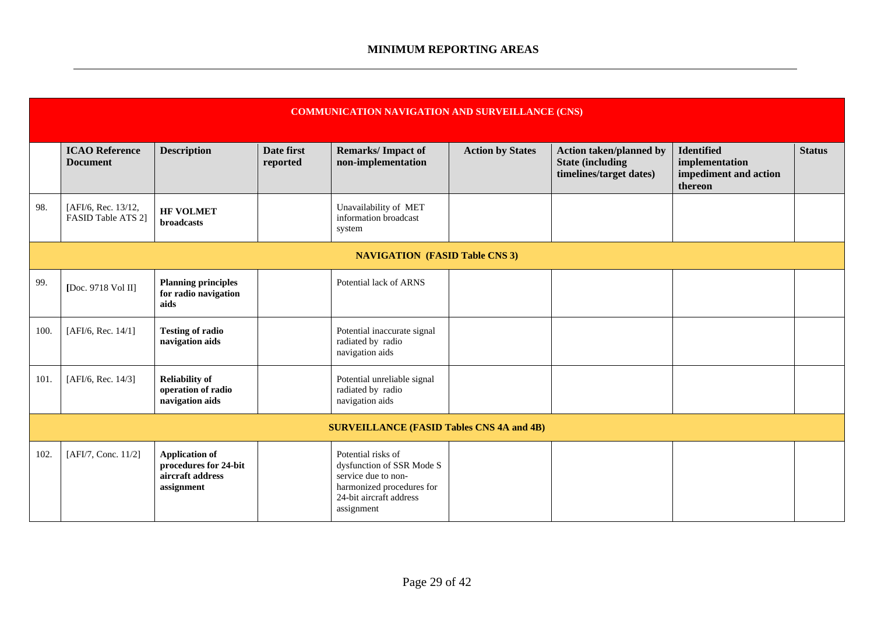|      | <b>COMMUNICATION NAVIGATION AND SURVEILLANCE (CNS)</b> |                                                                                  |                        |                                                                                                                                              |                         |                                                                                       |                                                                         |               |  |  |
|------|--------------------------------------------------------|----------------------------------------------------------------------------------|------------------------|----------------------------------------------------------------------------------------------------------------------------------------------|-------------------------|---------------------------------------------------------------------------------------|-------------------------------------------------------------------------|---------------|--|--|
|      | <b>ICAO Reference</b><br><b>Document</b>               | <b>Description</b>                                                               | Date first<br>reported | <b>Remarks/Impact of</b><br>non-implementation                                                                                               | <b>Action by States</b> | <b>Action taken/planned by</b><br><b>State (including)</b><br>timelines/target dates) | <b>Identified</b><br>implementation<br>impediment and action<br>thereon | <b>Status</b> |  |  |
| 98.  | [AFI/6, Rec. 13/12,<br>FASID Table ATS 2]              | <b>HF VOLMET</b><br>broadcasts                                                   |                        | Unavailability of MET<br>information broadcast<br>system                                                                                     |                         |                                                                                       |                                                                         |               |  |  |
|      | <b>NAVIGATION (FASID Table CNS 3)</b>                  |                                                                                  |                        |                                                                                                                                              |                         |                                                                                       |                                                                         |               |  |  |
| 99.  | [Doc. 9718 Vol II]                                     | <b>Planning principles</b><br>for radio navigation<br>aids                       |                        | Potential lack of ARNS                                                                                                                       |                         |                                                                                       |                                                                         |               |  |  |
| 100. | [AFI/6, Rec. 14/1]                                     | <b>Testing of radio</b><br>navigation aids                                       |                        | Potential inaccurate signal<br>radiated by radio<br>navigation aids                                                                          |                         |                                                                                       |                                                                         |               |  |  |
| 101. | [AFI/6, Rec. 14/3]                                     | <b>Reliability of</b><br>operation of radio<br>navigation aids                   |                        | Potential unreliable signal<br>radiated by radio<br>navigation aids                                                                          |                         |                                                                                       |                                                                         |               |  |  |
|      |                                                        |                                                                                  |                        | <b>SURVEILLANCE (FASID Tables CNS 4A and 4B)</b>                                                                                             |                         |                                                                                       |                                                                         |               |  |  |
| 102  | [AFI/7, Conc. 11/2]                                    | <b>Application of</b><br>procedures for 24-bit<br>aircraft address<br>assignment |                        | Potential risks of<br>dysfunction of SSR Mode S<br>service due to non-<br>harmonized procedures for<br>24-bit aircraft address<br>assignment |                         |                                                                                       |                                                                         |               |  |  |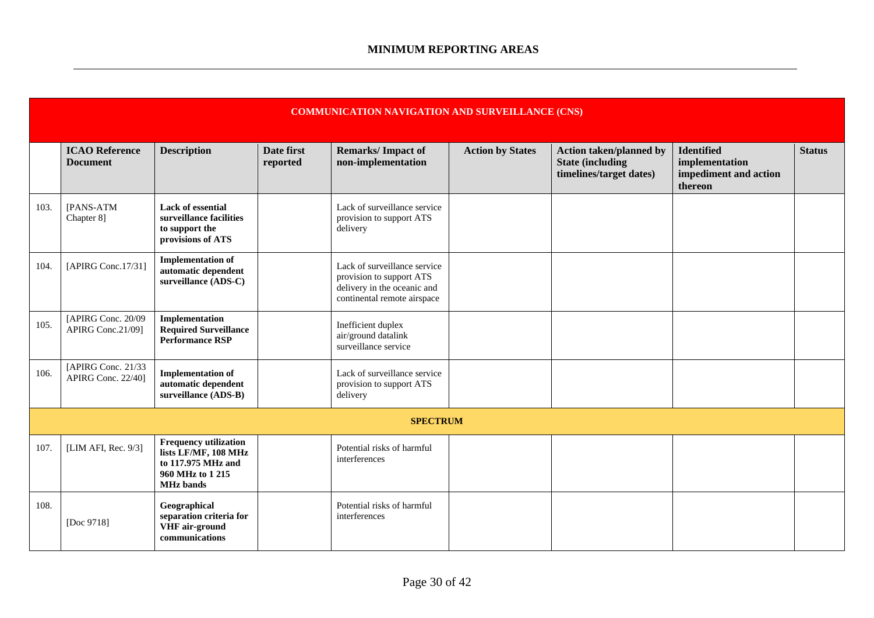|      | <b>COMMUNICATION NAVIGATION AND SURVEILLANCE (CNS)</b> |                                                                                                                    |                        |                                                                                                                        |                         |                                                                                      |                                                                         |               |  |
|------|--------------------------------------------------------|--------------------------------------------------------------------------------------------------------------------|------------------------|------------------------------------------------------------------------------------------------------------------------|-------------------------|--------------------------------------------------------------------------------------|-------------------------------------------------------------------------|---------------|--|
|      | <b>ICAO Reference</b><br><b>Document</b>               | <b>Description</b>                                                                                                 | Date first<br>reported | <b>Remarks/Impact of</b><br>non-implementation                                                                         | <b>Action by States</b> | <b>Action taken/planned by</b><br><b>State (including</b><br>timelines/target dates) | <b>Identified</b><br>implementation<br>impediment and action<br>thereon | <b>Status</b> |  |
| 103. | [PANS-ATM<br>Chapter 8]                                | <b>Lack of essential</b><br>surveillance facilities<br>to support the<br>provisions of ATS                         |                        | Lack of surveillance service<br>provision to support ATS<br>delivery                                                   |                         |                                                                                      |                                                                         |               |  |
| 104. | [APIRG Conc.17/31]                                     | <b>Implementation of</b><br>automatic dependent<br>surveillance (ADS-C)                                            |                        | Lack of surveillance service<br>provision to support ATS<br>delivery in the oceanic and<br>continental remote airspace |                         |                                                                                      |                                                                         |               |  |
| 105. | [APIRG Conc. 20/09<br>APIRG Conc.21/09]                | Implementation<br><b>Required Surveillance</b><br><b>Performance RSP</b>                                           |                        | Inefficient duplex<br>air/ground datalink<br>surveillance service                                                      |                         |                                                                                      |                                                                         |               |  |
| 106. | [APIRG Conc. 21/33<br>APIRG Conc. 22/40]               | <b>Implementation of</b><br>automatic dependent<br>surveillance (ADS-B)                                            |                        | Lack of surveillance service<br>provision to support ATS<br>delivery                                                   |                         |                                                                                      |                                                                         |               |  |
|      |                                                        |                                                                                                                    |                        | <b>SPECTRUM</b>                                                                                                        |                         |                                                                                      |                                                                         |               |  |
| 107. | [LIM AFI, Rec. 9/3]                                    | <b>Frequency utilization</b><br>lists LF/MF, 108 MHz<br>to 117.975 MHz and<br>960 MHz to 1 215<br><b>MHz</b> bands |                        | Potential risks of harmful<br>interferences                                                                            |                         |                                                                                      |                                                                         |               |  |
| 108. | [Doc 9718]                                             | Geographical<br>separation criteria for<br>VHF air-ground<br>communications                                        |                        | Potential risks of harmful<br>interferences                                                                            |                         |                                                                                      |                                                                         |               |  |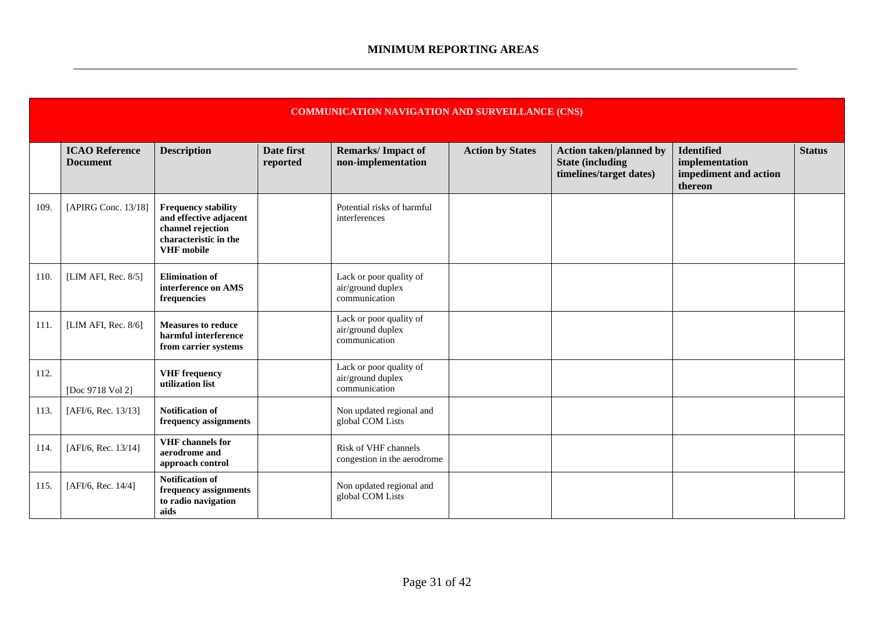|      | <b>COMMUNICATION NAVIGATION AND SURVEILLANCE (CNS)</b> |                                                                                                                         |                        |                                                               |                         |                                                                                       |                                                              |               |  |  |
|------|--------------------------------------------------------|-------------------------------------------------------------------------------------------------------------------------|------------------------|---------------------------------------------------------------|-------------------------|---------------------------------------------------------------------------------------|--------------------------------------------------------------|---------------|--|--|
|      | <b>ICAO Reference</b><br><b>Document</b>               | <b>Description</b>                                                                                                      | Date first<br>reported | <b>Remarks/Impact of</b><br>non-implementation                | <b>Action by States</b> | <b>Action taken/planned by</b><br><b>State (including)</b><br>timelines/target dates) | <b>Identified</b><br>implementation<br>impediment and action | <b>Status</b> |  |  |
|      |                                                        |                                                                                                                         |                        |                                                               |                         |                                                                                       | thereon                                                      |               |  |  |
| 109  | [APIRG Conc. 13/18]                                    | <b>Frequency stability</b><br>and effective adjacent<br>channel rejection<br>characteristic in the<br><b>VHF</b> mobile |                        | Potential risks of harmful<br>interferences                   |                         |                                                                                       |                                                              |               |  |  |
| 110. | [LIM AFI, Rec. 8/5]                                    | <b>Elimination of</b><br>interference on AMS<br>frequencies                                                             |                        | Lack or poor quality of<br>air/ground duplex<br>communication |                         |                                                                                       |                                                              |               |  |  |
| 111. | [LIM AFI, Rec. 8/6]                                    | <b>Measures to reduce</b><br>harmful interference<br>from carrier systems                                               |                        | Lack or poor quality of<br>air/ground duplex<br>communication |                         |                                                                                       |                                                              |               |  |  |
| 112. | [Doc 9718 Vol 2]                                       | <b>VHF</b> frequency<br>utilization list                                                                                |                        | Lack or poor quality of<br>air/ground duplex<br>communication |                         |                                                                                       |                                                              |               |  |  |
| 113. | [AFI/6, Rec. 13/13]                                    | <b>Notification of</b><br>frequency assignments                                                                         |                        | Non updated regional and<br>global COM Lists                  |                         |                                                                                       |                                                              |               |  |  |
| 114. | [AFI/6, Rec. 13/14]                                    | <b>VHF</b> channels for<br>aerodrome and<br>approach control                                                            |                        | Risk of VHF channels<br>congestion in the aerodrome           |                         |                                                                                       |                                                              |               |  |  |
| 115. | [AFI/6, Rec. 14/4]                                     | <b>Notification of</b><br>frequency assignments<br>to radio navigation<br>aids                                          |                        | Non updated regional and<br>global COM Lists                  |                         |                                                                                       |                                                              |               |  |  |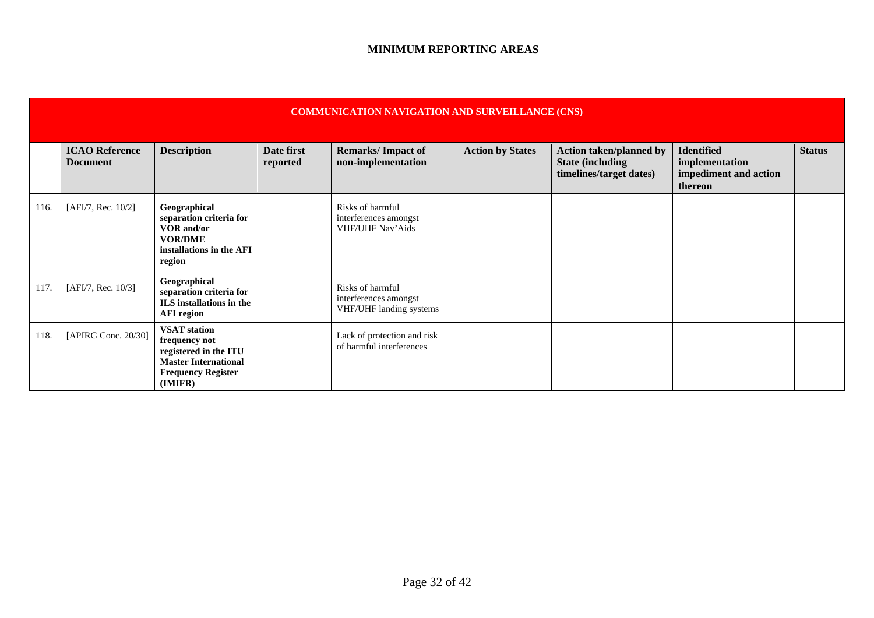|      | <b>COMMUNICATION NAVIGATION AND SURVEILLANCE (CNS)</b> |                                                                                                                                      |                        |                                                                      |                         |                                                                                       |                                                                         |               |  |  |  |
|------|--------------------------------------------------------|--------------------------------------------------------------------------------------------------------------------------------------|------------------------|----------------------------------------------------------------------|-------------------------|---------------------------------------------------------------------------------------|-------------------------------------------------------------------------|---------------|--|--|--|
|      | <b>ICAO Reference</b><br><b>Document</b>               | <b>Description</b>                                                                                                                   | Date first<br>reported | <b>Remarks/Impact of</b><br>non-implementation                       | <b>Action by States</b> | <b>Action taken/planned by</b><br><b>State (including)</b><br>timelines/target dates) | <b>Identified</b><br>implementation<br>impediment and action<br>thereon | <b>Status</b> |  |  |  |
| 116. | [AFI/7, Rec. 10/2]                                     | Geographical<br>separation criteria for<br>VOR and/or<br><b>VOR/DME</b><br>installations in the AFI<br>region                        |                        | Risks of harmful<br>interferences amongst<br>VHF/UHF Nav'Aids        |                         |                                                                                       |                                                                         |               |  |  |  |
| 117. | [AFI/7, Rec. 10/3]                                     | Geographical<br>separation criteria for<br>ILS installations in the<br><b>AFI</b> region                                             |                        | Risks of harmful<br>interferences amongst<br>VHF/UHF landing systems |                         |                                                                                       |                                                                         |               |  |  |  |
| 118  | [APIRG Conc. 20/30]                                    | <b>VSAT</b> station<br>frequency not<br>registered in the ITU<br><b>Master International</b><br><b>Frequency Register</b><br>(IMIFR) |                        | Lack of protection and risk<br>of harmful interferences              |                         |                                                                                       |                                                                         |               |  |  |  |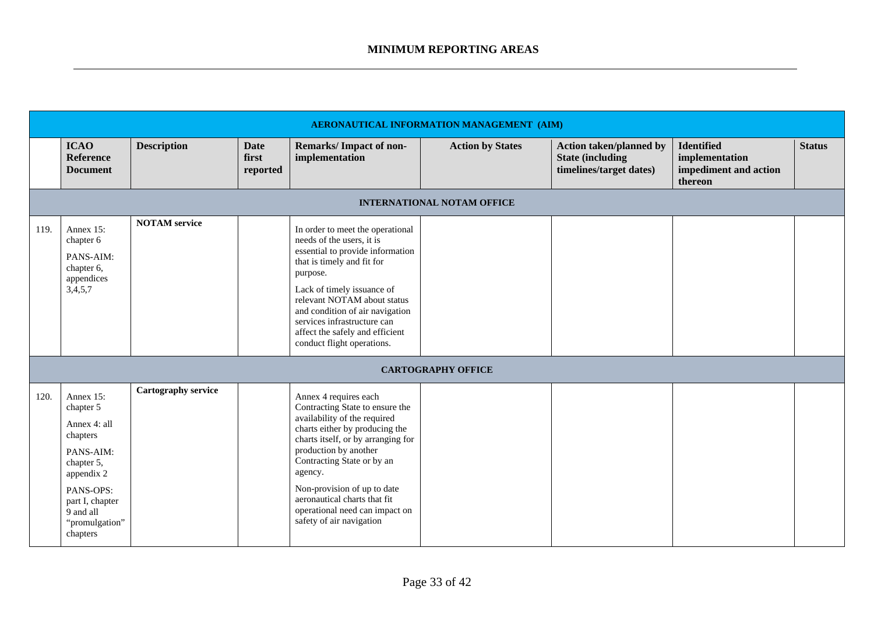|      | AERONAUTICAL INFORMATION MANAGEMENT (AIM)                                                                                                                              |                      |                                  |                                                                                                                                                                                                                                                                                                                                                                 |                           |                                                                                       |                                                                         |               |  |  |  |
|------|------------------------------------------------------------------------------------------------------------------------------------------------------------------------|----------------------|----------------------------------|-----------------------------------------------------------------------------------------------------------------------------------------------------------------------------------------------------------------------------------------------------------------------------------------------------------------------------------------------------------------|---------------------------|---------------------------------------------------------------------------------------|-------------------------------------------------------------------------|---------------|--|--|--|
|      | <b>ICAO</b><br><b>Reference</b><br><b>Document</b>                                                                                                                     | <b>Description</b>   | <b>Date</b><br>first<br>reported | Remarks/Impact of non-<br>implementation                                                                                                                                                                                                                                                                                                                        | <b>Action by States</b>   | <b>Action taken/planned by</b><br><b>State (including)</b><br>timelines/target dates) | <b>Identified</b><br>implementation<br>impediment and action<br>thereon | <b>Status</b> |  |  |  |
|      | <b>INTERNATIONAL NOTAM OFFICE</b>                                                                                                                                      |                      |                                  |                                                                                                                                                                                                                                                                                                                                                                 |                           |                                                                                       |                                                                         |               |  |  |  |
| 119. | Annex 15:<br>chapter 6<br>PANS-AIM:<br>chapter 6,<br>appendices<br>3,4,5,7                                                                                             | <b>NOTAM</b> service |                                  | In order to meet the operational<br>needs of the users, it is<br>essential to provide information<br>that is timely and fit for<br>purpose.<br>Lack of timely issuance of<br>relevant NOTAM about status<br>and condition of air navigation<br>services infrastructure can<br>affect the safely and efficient<br>conduct flight operations.                     |                           |                                                                                       |                                                                         |               |  |  |  |
|      |                                                                                                                                                                        |                      |                                  |                                                                                                                                                                                                                                                                                                                                                                 | <b>CARTOGRAPHY OFFICE</b> |                                                                                       |                                                                         |               |  |  |  |
| 120. | Annex 15:<br>chapter 5<br>Annex 4: all<br>chapters<br>PANS-AIM:<br>chapter 5,<br>appendix 2<br>PANS-OPS:<br>part I, chapter<br>9 and all<br>"promulgation"<br>chapters | Cartography service  |                                  | Annex 4 requires each<br>Contracting State to ensure the<br>availability of the required<br>charts either by producing the<br>charts itself, or by arranging for<br>production by another<br>Contracting State or by an<br>agency.<br>Non-provision of up to date<br>aeronautical charts that fit<br>operational need can impact on<br>safety of air navigation |                           |                                                                                       |                                                                         |               |  |  |  |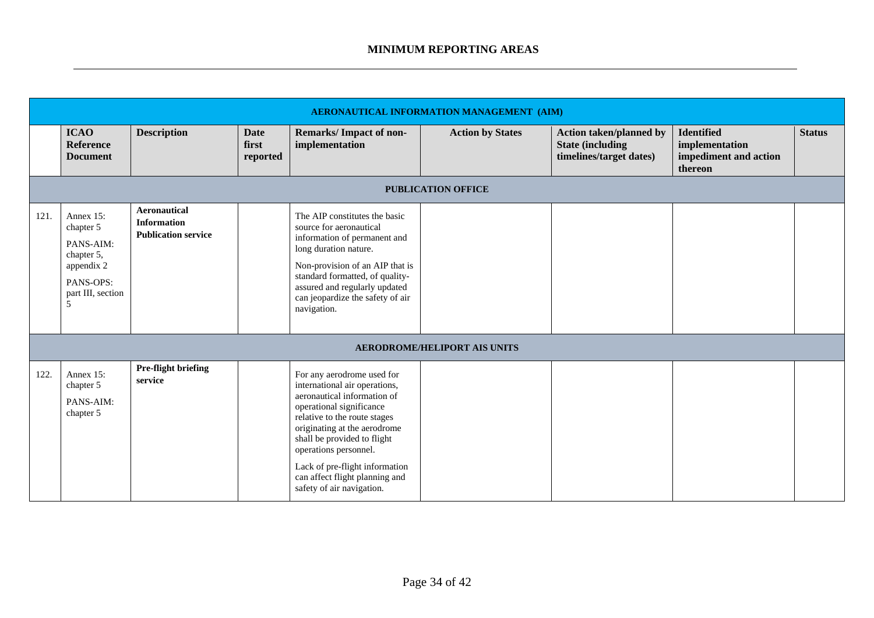|      | AERONAUTICAL INFORMATION MANAGEMENT (AIM)                                                              |                                                                         |                                  |                                                                                                                                                                                                                                                                                                                                                 |                                     |                                                                                       |                                                                         |               |  |  |  |  |
|------|--------------------------------------------------------------------------------------------------------|-------------------------------------------------------------------------|----------------------------------|-------------------------------------------------------------------------------------------------------------------------------------------------------------------------------------------------------------------------------------------------------------------------------------------------------------------------------------------------|-------------------------------------|---------------------------------------------------------------------------------------|-------------------------------------------------------------------------|---------------|--|--|--|--|
|      | <b>ICAO</b><br><b>Reference</b><br><b>Document</b>                                                     | <b>Description</b>                                                      | <b>Date</b><br>first<br>reported | <b>Remarks/Impact of non-</b><br>implementation                                                                                                                                                                                                                                                                                                 | <b>Action by States</b>             | <b>Action taken/planned by</b><br><b>State (including)</b><br>timelines/target dates) | <b>Identified</b><br>implementation<br>impediment and action<br>thereon | <b>Status</b> |  |  |  |  |
|      | <b>PUBLICATION OFFICE</b>                                                                              |                                                                         |                                  |                                                                                                                                                                                                                                                                                                                                                 |                                     |                                                                                       |                                                                         |               |  |  |  |  |
| 121  | Annex 15:<br>chapter 5<br>PANS-AIM:<br>chapter 5,<br>appendix 2<br>PANS-OPS:<br>part III, section<br>5 | <b>Aeronautical</b><br><b>Information</b><br><b>Publication service</b> |                                  | The AIP constitutes the basic<br>source for aeronautical<br>information of permanent and<br>long duration nature.<br>Non-provision of an AIP that is<br>standard formatted, of quality-<br>assured and regularly updated<br>can jeopardize the safety of air<br>navigation.                                                                     |                                     |                                                                                       |                                                                         |               |  |  |  |  |
|      |                                                                                                        |                                                                         |                                  |                                                                                                                                                                                                                                                                                                                                                 | <b>AERODROME/HELIPORT AIS UNITS</b> |                                                                                       |                                                                         |               |  |  |  |  |
| 122. | Annex 15:<br>chapter 5<br>PANS-AIM:<br>chapter 5                                                       | Pre-flight briefing<br>service                                          |                                  | For any aerodrome used for<br>international air operations,<br>aeronautical information of<br>operational significance<br>relative to the route stages<br>originating at the aerodrome<br>shall be provided to flight<br>operations personnel.<br>Lack of pre-flight information<br>can affect flight planning and<br>safety of air navigation. |                                     |                                                                                       |                                                                         |               |  |  |  |  |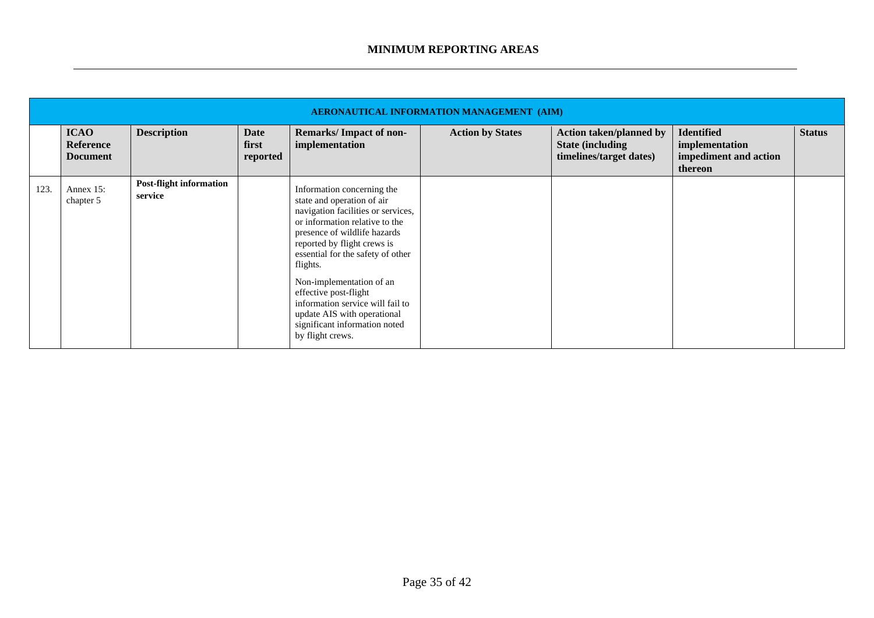|      | AERONAUTICAL INFORMATION MANAGEMENT (AIM)   |                                           |                                  |                                                                                                                                                                                                                                                                                                                                                                                                                               |                         |                                                                                       |                                                                         |               |  |  |  |
|------|---------------------------------------------|-------------------------------------------|----------------------------------|-------------------------------------------------------------------------------------------------------------------------------------------------------------------------------------------------------------------------------------------------------------------------------------------------------------------------------------------------------------------------------------------------------------------------------|-------------------------|---------------------------------------------------------------------------------------|-------------------------------------------------------------------------|---------------|--|--|--|
|      | <b>ICAO</b><br>Reference<br><b>Document</b> | <b>Description</b>                        | <b>Date</b><br>first<br>reported | <b>Remarks/Impact of non-</b><br>implementation                                                                                                                                                                                                                                                                                                                                                                               | <b>Action by States</b> | <b>Action taken/planned by</b><br><b>State (including)</b><br>timelines/target dates) | <b>Identified</b><br>implementation<br>impediment and action<br>thereon | <b>Status</b> |  |  |  |
| 123. | Annex 15:<br>chapter 5                      | <b>Post-flight information</b><br>service |                                  | Information concerning the<br>state and operation of air<br>navigation facilities or services,<br>or information relative to the<br>presence of wildlife hazards<br>reported by flight crews is<br>essential for the safety of other<br>flights.<br>Non-implementation of an<br>effective post-flight<br>information service will fail to<br>update AIS with operational<br>significant information noted<br>by flight crews. |                         |                                                                                       |                                                                         |               |  |  |  |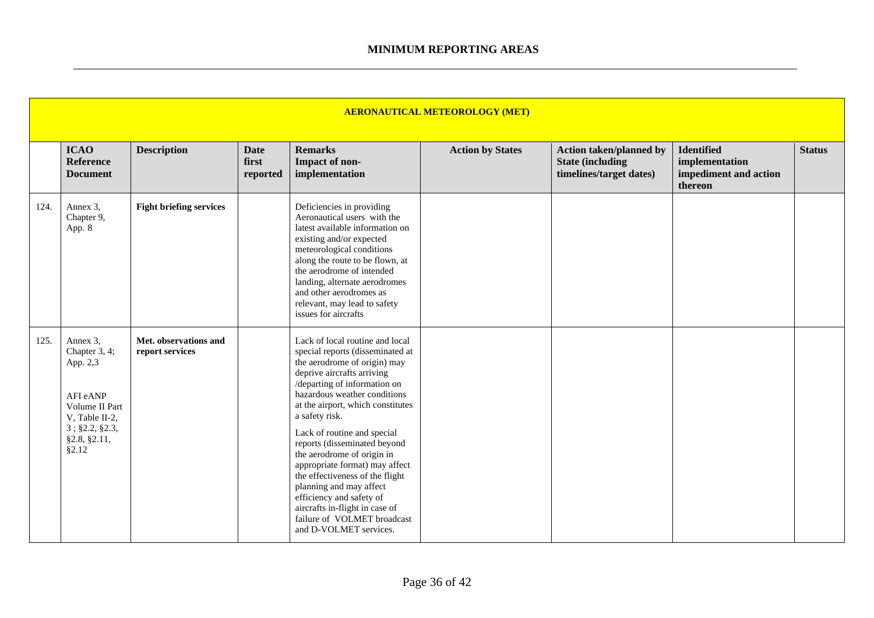|      | <b>AERONAUTICAL METEOROLOGY (MET)</b>                                                                                            |                                          |                                  |                                                                                                                                                                                                                                                                                                                                                                                                                                                                                                                                                                              |                         |                                                                                       |                                                                         |               |  |  |  |
|------|----------------------------------------------------------------------------------------------------------------------------------|------------------------------------------|----------------------------------|------------------------------------------------------------------------------------------------------------------------------------------------------------------------------------------------------------------------------------------------------------------------------------------------------------------------------------------------------------------------------------------------------------------------------------------------------------------------------------------------------------------------------------------------------------------------------|-------------------------|---------------------------------------------------------------------------------------|-------------------------------------------------------------------------|---------------|--|--|--|
|      | <b>ICAO</b><br><b>Reference</b><br><b>Document</b>                                                                               | <b>Description</b>                       | <b>Date</b><br>first<br>reported | <b>Remarks</b><br>Impact of non-<br>implementation                                                                                                                                                                                                                                                                                                                                                                                                                                                                                                                           | <b>Action by States</b> | <b>Action taken/planned by</b><br><b>State (including)</b><br>timelines/target dates) | <b>Identified</b><br>implementation<br>impediment and action<br>thereon | <b>Status</b> |  |  |  |
| 124. | Annex 3,<br>Chapter 9,<br>App. 8                                                                                                 | <b>Fight briefing services</b>           |                                  | Deficiencies in providing<br>Aeronautical users with the<br>latest available information on<br>existing and/or expected<br>meteorological conditions<br>along the route to be flown, at<br>the aerodrome of intended<br>landing, alternate aerodromes<br>and other aerodromes as<br>relevant, may lead to safety<br>issues for aircrafts                                                                                                                                                                                                                                     |                         |                                                                                       |                                                                         |               |  |  |  |
| 125. | Annex 3,<br>Chapter 3, 4;<br>App. 2,3<br>AFI eANP<br>Volume II Part<br>V, Table II-2,<br>3; §2.2, §2.3,<br>§2.8, §2.11,<br>§2.12 | Met. observations and<br>report services |                                  | Lack of local routine and local<br>special reports (disseminated at<br>the aerodrome of origin) may<br>deprive aircrafts arriving<br>/departing of information on<br>hazardous weather conditions<br>at the airport, which constitutes<br>a safety risk.<br>Lack of routine and special<br>reports (disseminated beyond<br>the aerodrome of origin in<br>appropriate format) may affect<br>the effectiveness of the flight<br>planning and may affect<br>efficiency and safety of<br>aircrafts in-flight in case of<br>failure of VOLMET broadcast<br>and D-VOLMET services. |                         |                                                                                       |                                                                         |               |  |  |  |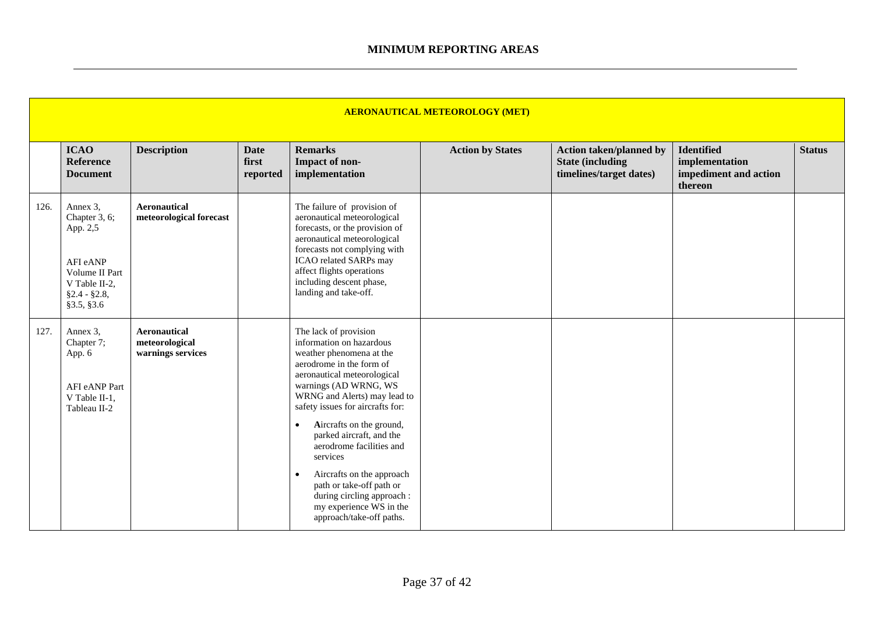|      | <b>AERONAUTICAL METEOROLOGY (MET)</b>                                                                                  |                                                     |                                  |                                                                                                                                                                                                                                                                                                                                                                                                                                                                                                               |                         |                                                                                      |                                                                         |               |
|------|------------------------------------------------------------------------------------------------------------------------|-----------------------------------------------------|----------------------------------|---------------------------------------------------------------------------------------------------------------------------------------------------------------------------------------------------------------------------------------------------------------------------------------------------------------------------------------------------------------------------------------------------------------------------------------------------------------------------------------------------------------|-------------------------|--------------------------------------------------------------------------------------|-------------------------------------------------------------------------|---------------|
|      | <b>ICAO</b><br><b>Reference</b><br><b>Document</b>                                                                     | <b>Description</b>                                  | <b>Date</b><br>first<br>reported | <b>Remarks</b><br>Impact of non-<br>implementation                                                                                                                                                                                                                                                                                                                                                                                                                                                            | <b>Action by States</b> | <b>Action taken/planned by</b><br><b>State (including</b><br>timelines/target dates) | <b>Identified</b><br>implementation<br>impediment and action<br>thereon | <b>Status</b> |
| 126. | Annex 3,<br>Chapter 3, 6;<br>App. 2,5<br>AFI eANP<br>Volume II Part<br>V Table II-2,<br>$§2.4 - §2.8,$<br>\$3.5, \$3.6 | <b>Aeronautical</b><br>meteorological forecast      |                                  | The failure of provision of<br>aeronautical meteorological<br>forecasts, or the provision of<br>aeronautical meteorological<br>forecasts not complying with<br>ICAO related SARPs may<br>affect flights operations<br>including descent phase,<br>landing and take-off.                                                                                                                                                                                                                                       |                         |                                                                                      |                                                                         |               |
| 127. | Annex 3,<br>Chapter 7;<br>App. 6<br><b>AFI eANP Part</b><br>V Table II-1,<br>Tableau II-2                              | Aeronautical<br>meteorological<br>warnings services |                                  | The lack of provision<br>information on hazardous<br>weather phenomena at the<br>aerodrome in the form of<br>aeronautical meteorological<br>warnings (AD WRNG, WS<br>WRNG and Alerts) may lead to<br>safety issues for aircrafts for:<br>Aircrafts on the ground,<br>$\bullet$<br>parked aircraft, and the<br>aerodrome facilities and<br>services<br>Aircrafts on the approach<br>$\bullet$<br>path or take-off path or<br>during circling approach :<br>my experience WS in the<br>approach/take-off paths. |                         |                                                                                      |                                                                         |               |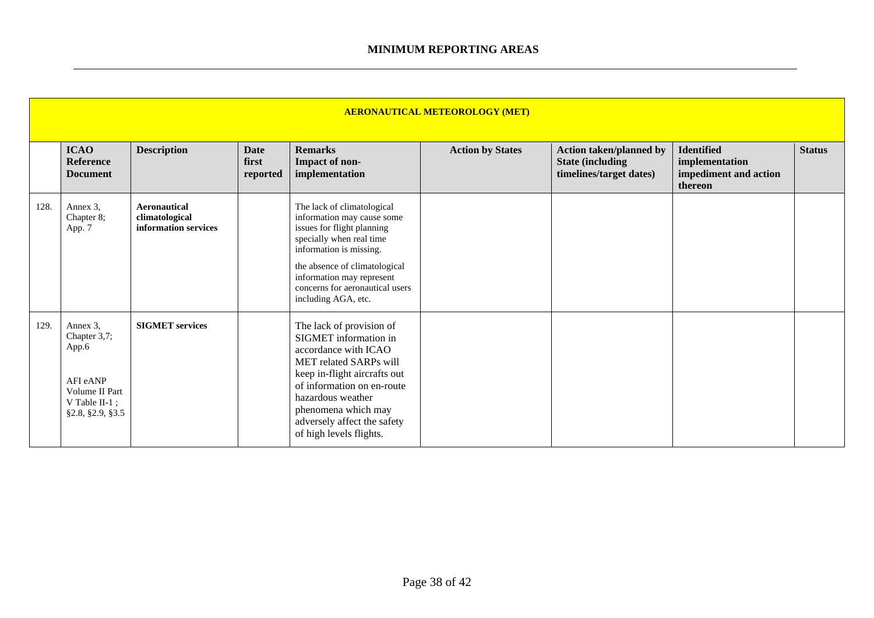|      | <b>AERONAUTICAL METEOROLOGY (MET)</b>                                                                |                                                        |                                  |                                                                                                                                                                                                                                                                         |                         |                                                                                       |                                                                         |               |  |
|------|------------------------------------------------------------------------------------------------------|--------------------------------------------------------|----------------------------------|-------------------------------------------------------------------------------------------------------------------------------------------------------------------------------------------------------------------------------------------------------------------------|-------------------------|---------------------------------------------------------------------------------------|-------------------------------------------------------------------------|---------------|--|
|      | <b>ICAO</b><br><b>Reference</b><br><b>Document</b>                                                   | <b>Description</b>                                     | <b>Date</b><br>first<br>reported | <b>Remarks</b><br>Impact of non-<br>implementation                                                                                                                                                                                                                      | <b>Action by States</b> | <b>Action taken/planned by</b><br><b>State (including)</b><br>timelines/target dates) | <b>Identified</b><br>implementation<br>impediment and action<br>thereon | <b>Status</b> |  |
| 128. | Annex 3,<br>Chapter 8;<br>App. 7                                                                     | Aeronautical<br>climatological<br>information services |                                  | The lack of climatological<br>information may cause some<br>issues for flight planning<br>specially when real time<br>information is missing.<br>the absence of climatological<br>information may represent<br>concerns for aeronautical users<br>including AGA, etc.   |                         |                                                                                       |                                                                         |               |  |
| 129. | Annex 3,<br>Chapter 3,7;<br>App.6<br>AFI eANP<br>Volume II Part<br>V Table II-1;<br>§2.8, §2.9, §3.5 | <b>SIGMET</b> services                                 |                                  | The lack of provision of<br>SIGMET information in<br>accordance with ICAO<br>MET related SARPs will<br>keep in-flight aircrafts out<br>of information on en-route<br>hazardous weather<br>phenomena which may<br>adversely affect the safety<br>of high levels flights. |                         |                                                                                       |                                                                         |               |  |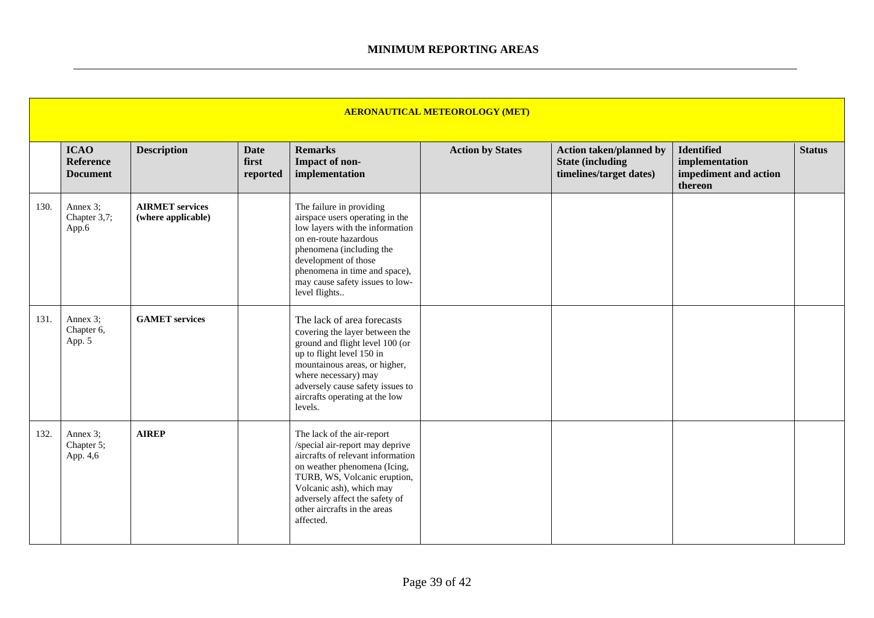|      |                                                    |                                              |                                  |                                                                                                                                                                                                                                                                               | <b>AERONAUTICAL METEOROLOGY (MET)</b> |                                                                                      |                                                                         |               |
|------|----------------------------------------------------|----------------------------------------------|----------------------------------|-------------------------------------------------------------------------------------------------------------------------------------------------------------------------------------------------------------------------------------------------------------------------------|---------------------------------------|--------------------------------------------------------------------------------------|-------------------------------------------------------------------------|---------------|
|      | <b>ICAO</b><br><b>Reference</b><br><b>Document</b> | <b>Description</b>                           | <b>Date</b><br>first<br>reported | <b>Remarks</b><br>Impact of non-<br>implementation                                                                                                                                                                                                                            | <b>Action by States</b>               | <b>Action taken/planned by</b><br><b>State (including</b><br>timelines/target dates) | <b>Identified</b><br>implementation<br>impediment and action<br>thereon | <b>Status</b> |
| 130. | Annex 3;<br>Chapter 3,7;<br>App.6                  | <b>AIRMET</b> services<br>(where applicable) |                                  | The failure in providing<br>airspace users operating in the<br>low layers with the information<br>on en-route hazardous<br>phenomena (including the<br>development of those<br>phenomena in time and space),<br>may cause safety issues to low-<br>level flights              |                                       |                                                                                      |                                                                         |               |
| 131. | Annex 3;<br>Chapter 6,<br>App. 5                   | <b>GAMET</b> services                        |                                  | The lack of area forecasts<br>covering the layer between the<br>ground and flight level 100 (or<br>up to flight level 150 in<br>mountainous areas, or higher,<br>where necessary) may<br>adversely cause safety issues to<br>aircrafts operating at the low<br>levels.        |                                       |                                                                                      |                                                                         |               |
| 132. | Annex 3;<br>Chapter 5;<br>App. 4,6                 | <b>AIREP</b>                                 |                                  | The lack of the air-report<br>/special air-report may deprive<br>aircrafts of relevant information<br>on weather phenomena (Icing,<br>TURB, WS, Volcanic eruption,<br>Volcanic ash), which may<br>adversely affect the safety of<br>other aircrafts in the areas<br>affected. |                                       |                                                                                      |                                                                         |               |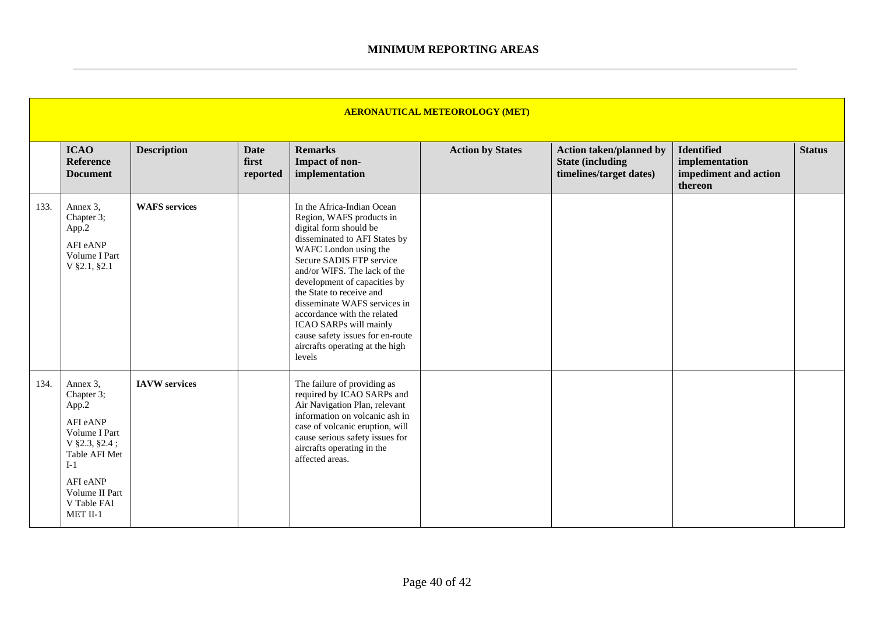|      | <b>AERONAUTICAL METEOROLOGY (MET)</b>                                                                                                                              |                      |                                  |                                                                                                                                                                                                                                                                                                                                                                                                                                              |                         |                                                                                      |                                                                         |               |  |
|------|--------------------------------------------------------------------------------------------------------------------------------------------------------------------|----------------------|----------------------------------|----------------------------------------------------------------------------------------------------------------------------------------------------------------------------------------------------------------------------------------------------------------------------------------------------------------------------------------------------------------------------------------------------------------------------------------------|-------------------------|--------------------------------------------------------------------------------------|-------------------------------------------------------------------------|---------------|--|
|      |                                                                                                                                                                    |                      |                                  |                                                                                                                                                                                                                                                                                                                                                                                                                                              |                         |                                                                                      |                                                                         |               |  |
|      | <b>ICAO</b><br><b>Reference</b><br><b>Document</b>                                                                                                                 | <b>Description</b>   | <b>Date</b><br>first<br>reported | <b>Remarks</b><br>Impact of non-<br>implementation                                                                                                                                                                                                                                                                                                                                                                                           | <b>Action by States</b> | <b>Action taken/planned by</b><br><b>State (including</b><br>timelines/target dates) | <b>Identified</b><br>implementation<br>impediment and action<br>thereon | <b>Status</b> |  |
| 133. | Annex 3,<br>Chapter 3;<br>App.2<br>AFI eANP<br>Volume I Part<br>V §2.1, §2.1                                                                                       | <b>WAFS</b> services |                                  | In the Africa-Indian Ocean<br>Region, WAFS products in<br>digital form should be<br>disseminated to AFI States by<br>WAFC London using the<br>Secure SADIS FTP service<br>and/or WIFS. The lack of the<br>development of capacities by<br>the State to receive and<br>disseminate WAFS services in<br>accordance with the related<br>ICAO SARPs will mainly<br>cause safety issues for en-route<br>aircrafts operating at the high<br>levels |                         |                                                                                      |                                                                         |               |  |
| 134. | Annex 3,<br>Chapter 3;<br>App.2<br>AFI eANP<br>Volume I Part<br>$V$ §2.3, §2.4;<br>Table AFI Met<br>$I-1$<br>AFI eANP<br>Volume II Part<br>V Table FAI<br>MET II-1 | <b>IAVW</b> services |                                  | The failure of providing as<br>required by ICAO SARPs and<br>Air Navigation Plan, relevant<br>information on volcanic ash in<br>case of volcanic eruption, will<br>cause serious safety issues for<br>aircrafts operating in the<br>affected areas.                                                                                                                                                                                          |                         |                                                                                      |                                                                         |               |  |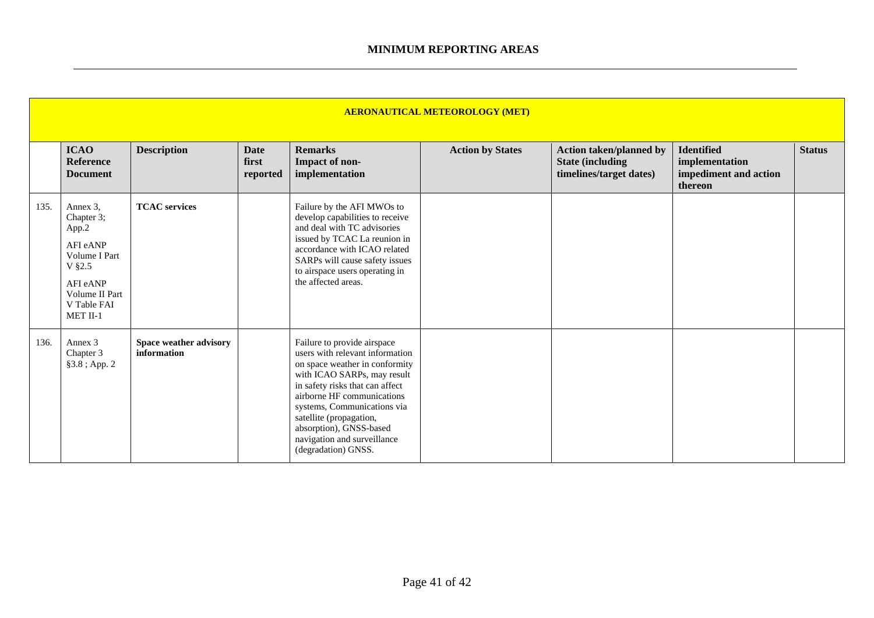|      | <b>AERONAUTICAL METEOROLOGY (MET)</b>                                                                                               |                                       |                                  |                                                                                                                                                                                                                                                                                                                                             |                         |                                                                                       |                                                                         |               |  |
|------|-------------------------------------------------------------------------------------------------------------------------------------|---------------------------------------|----------------------------------|---------------------------------------------------------------------------------------------------------------------------------------------------------------------------------------------------------------------------------------------------------------------------------------------------------------------------------------------|-------------------------|---------------------------------------------------------------------------------------|-------------------------------------------------------------------------|---------------|--|
|      | <b>ICAO</b><br><b>Reference</b><br><b>Document</b>                                                                                  | <b>Description</b>                    | <b>Date</b><br>first<br>reported | <b>Remarks</b><br>Impact of non-<br>implementation                                                                                                                                                                                                                                                                                          | <b>Action by States</b> | <b>Action taken/planned by</b><br><b>State (including)</b><br>timelines/target dates) | <b>Identified</b><br>implementation<br>impediment and action<br>thereon | <b>Status</b> |  |
| 135. | Annex 3,<br>Chapter 3;<br>App.2<br>AFI eANP<br>Volume I Part<br>V $\S$ 2.5<br>AFI eANP<br>Volume II Part<br>V Table FAI<br>MET II-1 | <b>TCAC</b> services                  |                                  | Failure by the AFI MWOs to<br>develop capabilities to receive<br>and deal with TC advisories<br>issued by TCAC La reunion in<br>accordance with ICAO related<br>SARPs will cause safety issues<br>to airspace users operating in<br>the affected areas.                                                                                     |                         |                                                                                       |                                                                         |               |  |
| 136. | Annex 3<br>Chapter 3<br>$§3.8$ ; App. 2                                                                                             | Space weather advisory<br>information |                                  | Failure to provide airspace<br>users with relevant information<br>on space weather in conformity<br>with ICAO SARPs, may result<br>in safety risks that can affect<br>airborne HF communications<br>systems, Communications via<br>satellite (propagation,<br>absorption), GNSS-based<br>navigation and surveillance<br>(degradation) GNSS. |                         |                                                                                       |                                                                         |               |  |